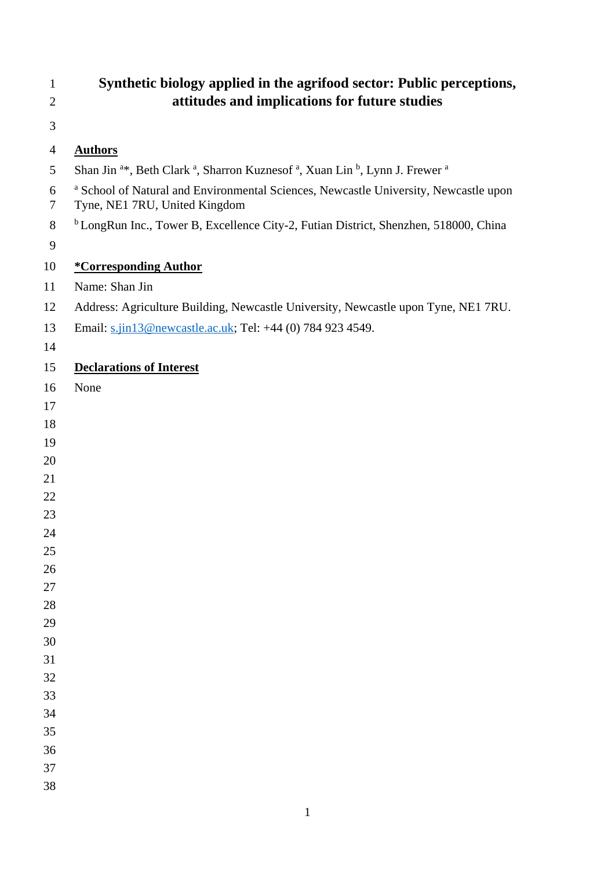| $\mathbf{1}$   | Synthetic biology applied in the agrifood sector: Public perceptions,                                                                  |
|----------------|----------------------------------------------------------------------------------------------------------------------------------------|
| $\overline{2}$ | attitudes and implications for future studies                                                                                          |
| 3              |                                                                                                                                        |
| 4              | <b>Authors</b>                                                                                                                         |
| 5              | Shan Jin <sup>a*</sup> , Beth Clark <sup>a</sup> , Sharron Kuznesof <sup>a</sup> , Xuan Lin <sup>b</sup> , Lynn J. Frewer <sup>a</sup> |
| 6<br>7         | a School of Natural and Environmental Sciences, Newcastle University, Newcastle upon<br>Tyne, NE1 7RU, United Kingdom                  |
| 8              | <sup>b</sup> LongRun Inc., Tower B, Excellence City-2, Futian District, Shenzhen, 518000, China                                        |
| 9              |                                                                                                                                        |
| 10             | <i><b>*Corresponding Author</b></i>                                                                                                    |
| 11             | Name: Shan Jin                                                                                                                         |
| 12             | Address: Agriculture Building, Newcastle University, Newcastle upon Tyne, NE1 7RU.                                                     |
| 13             | Email: s.jin13@newcastle.ac.uk; Tel: +44 (0) 784 923 4549.                                                                             |
| 14             |                                                                                                                                        |
| 15             | <b>Declarations of Interest</b>                                                                                                        |
| 16             | None                                                                                                                                   |
| 17             |                                                                                                                                        |
| 18             |                                                                                                                                        |
| 19             |                                                                                                                                        |
| 20             |                                                                                                                                        |
| 21             |                                                                                                                                        |
| 22             |                                                                                                                                        |
| 23<br>24       |                                                                                                                                        |
| 25             |                                                                                                                                        |
| 26             |                                                                                                                                        |
| 27             |                                                                                                                                        |
| 28             |                                                                                                                                        |
| 29             |                                                                                                                                        |
| 30             |                                                                                                                                        |
| 31             |                                                                                                                                        |
| 32             |                                                                                                                                        |
| 33<br>34       |                                                                                                                                        |
| 35             |                                                                                                                                        |
| 36             |                                                                                                                                        |
| 37             |                                                                                                                                        |
| 38             |                                                                                                                                        |
|                |                                                                                                                                        |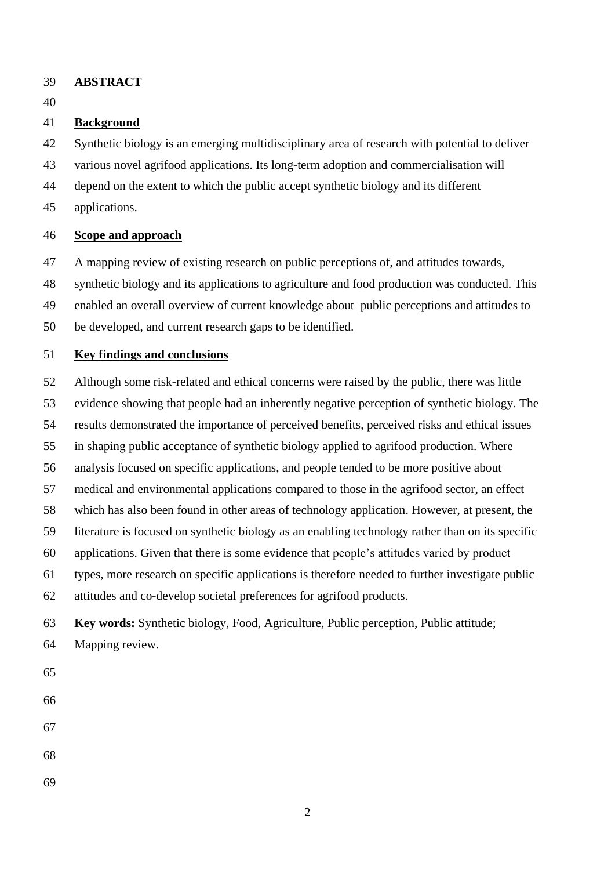- **ABSTRACT**
- 

# **Background**

Synthetic biology is an emerging multidisciplinary area of research with potential to deliver

- various novel agrifood applications. Its long-term adoption and commercialisation will
- depend on the extent to which the public accept synthetic biology and its different
- applications.

# **Scope and approach**

- A mapping review of existing research on public perceptions of, and attitudes towards,
- synthetic biology and its applications to agriculture and food production was conducted. This
- enabled an overall overview of current knowledge about public perceptions and attitudes to
- be developed, and current research gaps to be identified.

# **Key findings and conclusions**

- Although some risk-related and ethical concerns were raised by the public, there was little
- evidence showing that people had an inherently negative perception of synthetic biology. The
- results demonstrated the importance of perceived benefits, perceived risks and ethical issues
- in shaping public acceptance of synthetic biology applied to agrifood production. Where
- analysis focused on specific applications, and people tended to be more positive about
- medical and environmental applications compared to those in the agrifood sector, an effect
- which has also been found in other areas of technology application. However, at present, the
- literature is focused on synthetic biology as an enabling technology rather than on its specific
- applications. Given that there is some evidence that people's attitudes varied by product
- types, more research on specific applications is therefore needed to further investigate public
- attitudes and co-develop societal preferences for agrifood products.

# **Key words:** Synthetic biology, Food, Agriculture, Public perception, Public attitude;

- Mapping review.
- 
- 
- 
- 
- 
-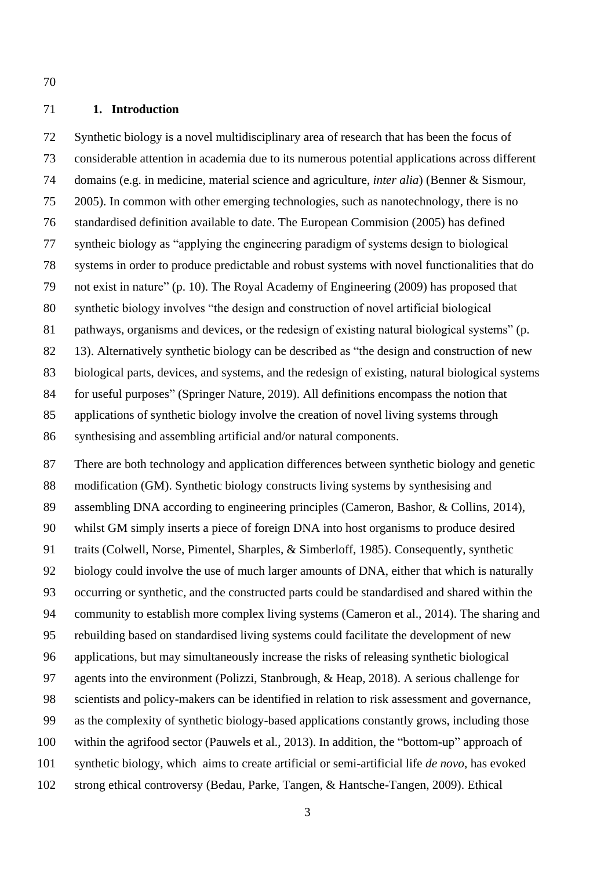## **1. Introduction**

 Synthetic biology is a novel multidisciplinary area of research that has been the focus of considerable attention in academia due to its numerous potential applications across different domains (e.g. in medicine, material science and agriculture, *inter alia*) (Benner & Sismour, 2005). In common with other emerging technologies, such as nanotechnology, there is no standardised definition available to date. The European Commision (2005) has defined syntheic biology as "applying the engineering paradigm of systems design to biological systems in order to produce predictable and robust systems with novel functionalities that do not exist in nature" (p. 10). The Royal Academy of Engineering (2009) has proposed that synthetic biology involves "the design and construction of novel artificial biological pathways, organisms and devices, or the redesign of existing natural biological systems" (p. 13). Alternatively synthetic biology can be described as "the design and construction of new biological parts, devices, and systems, and the redesign of existing, natural biological systems for useful purposes" (Springer Nature, 2019). All definitions encompass the notion that applications of synthetic biology involve the creation of novel living systems through synthesising and assembling artificial and/or natural components.

 There are both technology and application differences between synthetic biology and genetic modification (GM). Synthetic biology constructs living systems by synthesising and assembling DNA according to engineering principles (Cameron, Bashor, & Collins, 2014), whilst GM simply inserts a piece of foreign DNA into host organisms to produce desired traits (Colwell, Norse, Pimentel, Sharples, & Simberloff, 1985). Consequently, synthetic biology could involve the use of much larger amounts of DNA, either that which is naturally occurring or synthetic, and the constructed parts could be standardised and shared within the community to establish more complex living systems (Cameron et al., 2014). The sharing and rebuilding based on standardised living systems could facilitate the development of new applications, but may simultaneously increase the risks of releasing synthetic biological agents into the environment (Polizzi, Stanbrough, & Heap, 2018). A serious challenge for scientists and policy-makers can be identified in relation to risk assessment and governance, as the complexity of synthetic biology-based applications constantly grows, including those within the agrifood sector (Pauwels et al., 2013). In addition, the "bottom-up" approach of synthetic biology, which aims to create artificial or semi-artificial life *de novo*, has evoked strong ethical controversy (Bedau, Parke, Tangen, & Hantsche-Tangen, 2009). Ethical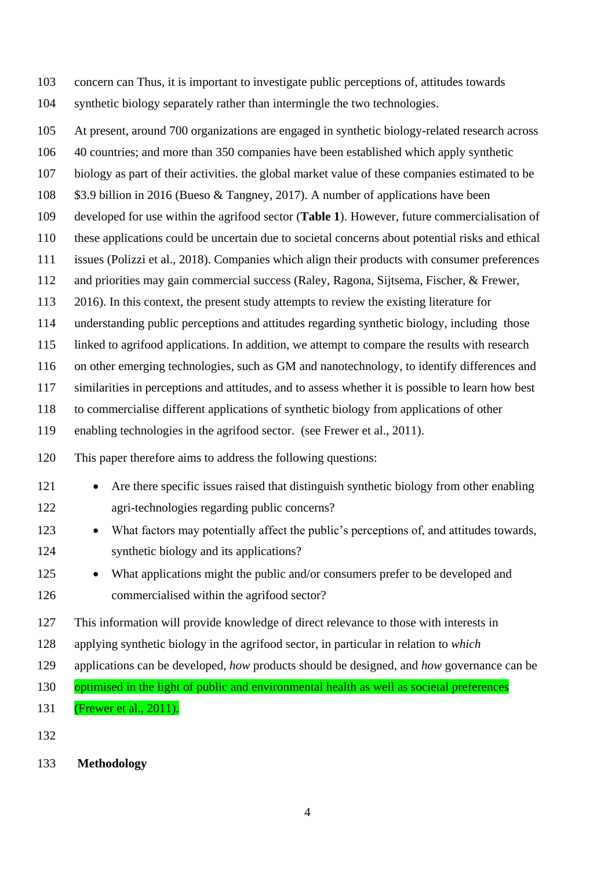concern can Thus, it is important to investigate public perceptions of, attitudes towards synthetic biology separately rather than intermingle the two technologies.

At present, around 700 organizations are engaged in synthetic biology-related research across

40 countries; and more than 350 companies have been established which apply synthetic

biology as part of their activities. the global market value of these companies estimated to be

\$3.9 billion in 2016 (Bueso & Tangney, 2017). A number of applications have been

developed for use within the agrifood sector (**Table 1**). However, future commercialisation of

these applications could be uncertain due to societal concerns about potential risks and ethical

issues (Polizzi et al., 2018). Companies which align their products with consumer preferences

and priorities may gain commercial success (Raley, Ragona, Sijtsema, Fischer, & Frewer,

2016). In this context, the present study attempts to review the existing literature for

understanding public perceptions and attitudes regarding synthetic biology, including those

linked to agrifood applications. In addition, we attempt to compare the results with research

on other emerging technologies, such as GM and nanotechnology, to identify differences and

similarities in perceptions and attitudes, and to assess whether it is possible to learn how best

to commercialise different applications of synthetic biology from applications of other

enabling technologies in the agrifood sector. (see Frewer et al., 2011).

This paper therefore aims to address the following questions:

- 121 Are there specific issues raised that distinguish synthetic biology from other enabling agri-technologies regarding public concerns?
- 123 What factors may potentially affect the public's perceptions of, and attitudes towards, synthetic biology and its applications?
- 125 What applications might the public and/or consumers prefer to be developed and commercialised within the agrifood sector?
- This information will provide knowledge of direct relevance to those with interests in
- applying synthetic biology in the agrifood sector, in particular in relation to *which*
- applications can be developed, *how* products should be designed, and *how* governance can be

130 optimised in the light of public and environmental health as well as societal preferences

- (Frewer et al., 2011).
- 

**Methodology**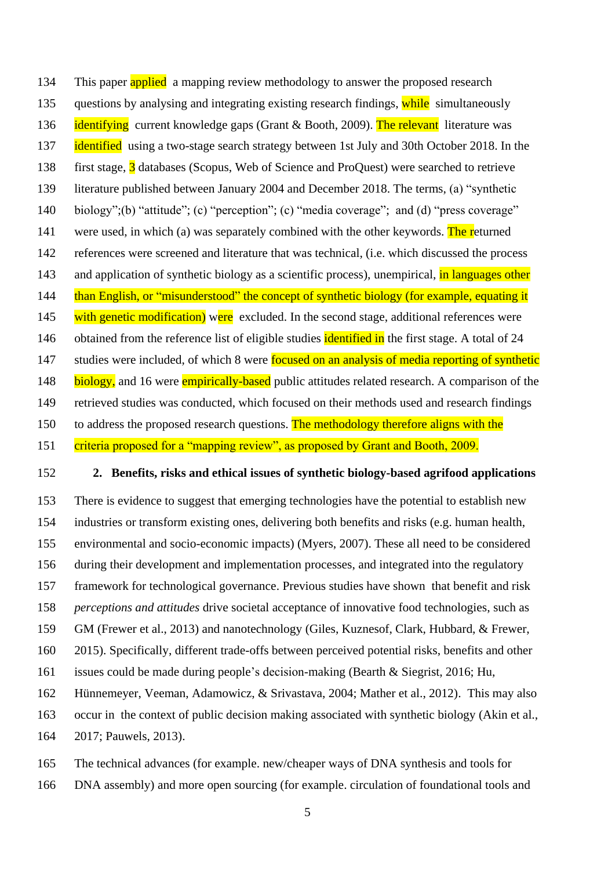134 This paper applied a mapping review methodology to answer the proposed research 135 questions by analysing and integrating existing research findings, while simultaneously **identifying** current knowledge gaps (Grant & Booth, 2009). The relevant literature was **identified** using a two-stage search strategy between 1st July and 30th October 2018. In the first stage, 3 databases (Scopus, Web of Science and ProQuest) were searched to retrieve literature published between January 2004 and December 2018. The terms, (a) "synthetic biology";(b) "attitude"; (c) "perception"; (c) "media coverage"; and (d) "press coverage" 141 were used, in which (a) was separately combined with the other keywords. The returned references were screened and literature that was technical, (i.e. which discussed the process 143 and application of synthetic biology as a scientific process), unempirical, in languages other 144 than English, or "misunderstood" the concept of synthetic biology (for example, equating it 145 with genetic modification) were excluded. In the second stage, additional references were 146 obtained from the reference list of eligible studies **identified in** the first stage. A total of 24 147 studies were included, of which 8 were **focused on an analysis of media reporting of synthetic** 148 biology, and 16 were empirically-based public attitudes related research. A comparison of the retrieved studies was conducted, which focused on their methods used and research findings 150 to address the proposed research questions. The methodology therefore aligns with the criteria proposed for a "mapping review", as proposed by Grant and Booth, 2009.

### **2. Benefits, risks and ethical issues of synthetic biology-based agrifood applications**

 There is evidence to suggest that emerging technologies have the potential to establish new industries or transform existing ones, delivering both benefits and risks (e.g. human health, environmental and socio-economic impacts) (Myers, 2007). These all need to be considered during their development and implementation processes, and integrated into the regulatory framework for technological governance. Previous studies have shown that benefit and risk *perceptions and attitudes* drive societal acceptance of innovative food technologies, such as GM (Frewer et al., 2013) and nanotechnology (Giles, Kuznesof, Clark, Hubbard, & Frewer, 2015). Specifically, different trade-offs between perceived potential risks, benefits and other issues could be made during people's decision-making (Bearth & Siegrist, 2016; Hu, Hünnemeyer, Veeman, Adamowicz, & Srivastava, 2004; Mather et al., 2012). This may also occur in the context of public decision making associated with synthetic biology (Akin et al.,

2017; Pauwels, 2013).

 The technical advances (for example. new/cheaper ways of DNA synthesis and tools for DNA assembly) and more open sourcing (for example. circulation of foundational tools and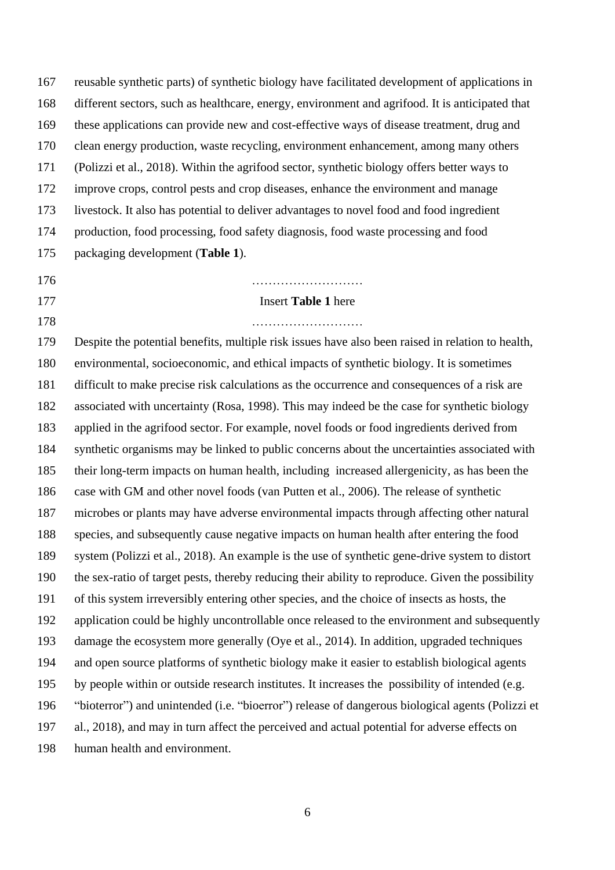reusable synthetic parts) of synthetic biology have facilitated development of applications in different sectors, such as healthcare, energy, environment and agrifood. It is anticipated that these applications can provide new and cost-effective ways of disease treatment, drug and clean energy production, waste recycling, environment enhancement, among many others (Polizzi et al., 2018). Within the agrifood sector, synthetic biology offers better ways to improve crops, control pests and crop diseases, enhance the environment and manage livestock. It also has potential to deliver advantages to novel food and food ingredient production, food processing, food safety diagnosis, food waste processing and food packaging development (**Table 1**). ……………………… Insert **Table 1** here ……………………… Despite the potential benefits, multiple risk issues have also been raised in relation to health,

 environmental, socioeconomic, and ethical impacts of synthetic biology. It is sometimes difficult to make precise risk calculations as the occurrence and consequences of a risk are associated with uncertainty (Rosa, 1998). This may indeed be the case for synthetic biology applied in the agrifood sector. For example, novel foods or food ingredients derived from synthetic organisms may be linked to public concerns about the uncertainties associated with their long-term impacts on human health, including increased allergenicity, as has been the case with GM and other novel foods (van Putten et al., 2006). The release of synthetic microbes or plants may have adverse environmental impacts through affecting other natural species, and subsequently cause negative impacts on human health after entering the food system (Polizzi et al., 2018). An example is the use of synthetic gene-drive system to distort the sex-ratio of target pests, thereby reducing their ability to reproduce. Given the possibility of this system irreversibly entering other species, and the choice of insects as hosts, the application could be highly uncontrollable once released to the environment and subsequently damage the ecosystem more generally (Oye et al., 2014). In addition, upgraded techniques and open source platforms of synthetic biology make it easier to establish biological agents by people within or outside research institutes. It increases the possibility of intended (e.g. "bioterror") and unintended (i.e. "bioerror") release of dangerous biological agents (Polizzi et al., 2018), and may in turn affect the perceived and actual potential for adverse effects on human health and environment.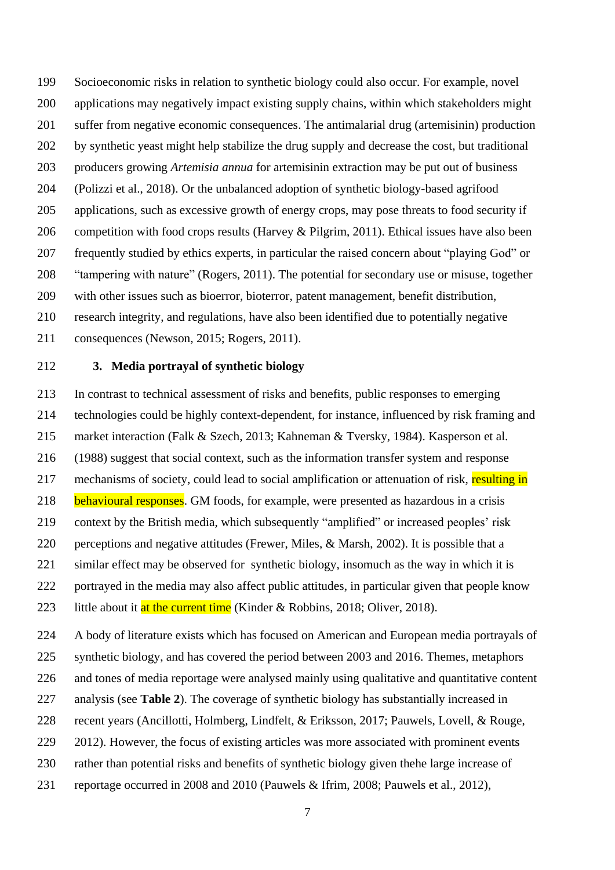Socioeconomic risks in relation to synthetic biology could also occur. For example, novel applications may negatively impact existing supply chains, within which stakeholders might suffer from negative economic consequences. The antimalarial drug (artemisinin) production by synthetic yeast might help stabilize the drug supply and decrease the cost, but traditional producers growing *Artemisia annua* for artemisinin extraction may be put out of business (Polizzi et al., 2018). Or the unbalanced adoption of synthetic biology-based agrifood applications, such as excessive growth of energy crops, may pose threats to food security if competition with food crops results (Harvey & Pilgrim, 2011). Ethical issues have also been frequently studied by ethics experts, in particular the raised concern about "playing God" or "tampering with nature" (Rogers, 2011). The potential for secondary use or misuse, together with other issues such as bioerror, bioterror, patent management, benefit distribution, research integrity, and regulations, have also been identified due to potentially negative consequences (Newson, 2015; Rogers, 2011).

## **3. Media portrayal of synthetic biology**

 In contrast to technical assessment of risks and benefits, public responses to emerging technologies could be highly context-dependent, for instance, influenced by risk framing and market interaction (Falk & Szech, 2013; Kahneman & Tversky, 1984). Kasperson et al. (1988) suggest that social context, such as the information transfer system and response 217 mechanisms of society, could lead to social amplification or attenuation of risk, resulting in 218 behavioural responses. GM foods, for example, were presented as hazardous in a crisis context by the British media, which subsequently "amplified" or increased peoples' risk perceptions and negative attitudes (Frewer, Miles, & Marsh, 2002). It is possible that a similar effect may be observed for synthetic biology, insomuch as the way in which it is portrayed in the media may also affect public attitudes, in particular given that people know 223 little about it at the current time (Kinder & Robbins, 2018; Oliver, 2018).

A body of literature exists which has focused on American and European media portrayals of

synthetic biology, and has covered the period between 2003 and 2016. Themes, metaphors

and tones of media reportage were analysed mainly using qualitative and quantitative content

- analysis (see **Table 2**). The coverage of synthetic biology has substantially increased in
- recent years (Ancillotti, Holmberg, Lindfelt, & Eriksson, 2017; Pauwels, Lovell, & Rouge,
- 229 2012). However, the focus of existing articles was more associated with prominent events
- rather than potential risks and benefits of synthetic biology given thehe large increase of
- reportage occurred in 2008 and 2010 (Pauwels & Ifrim, 2008; Pauwels et al., 2012),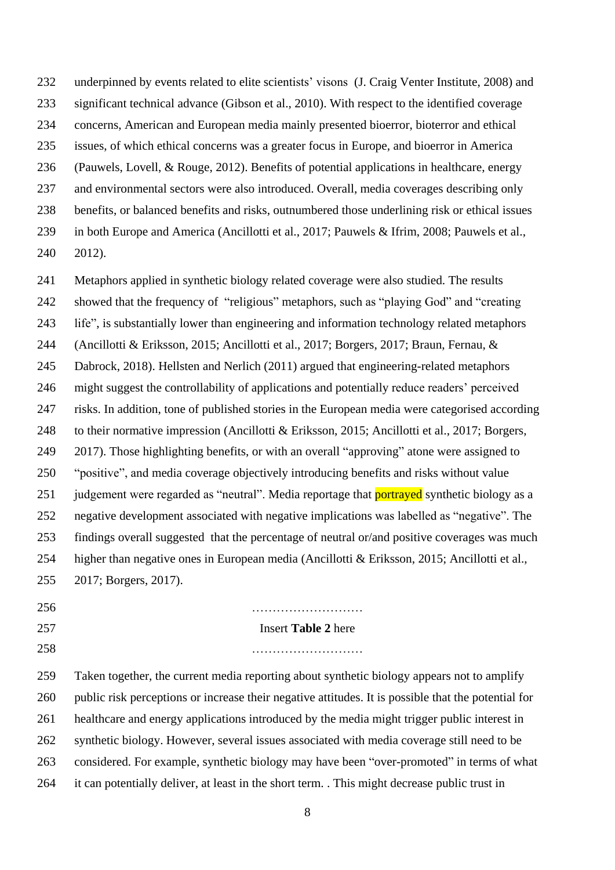underpinned by events related to elite scientists' visons (J. Craig Venter Institute, 2008) and significant technical advance (Gibson et al., 2010). With respect to the identified coverage concerns, American and European media mainly presented bioerror, bioterror and ethical issues, of which ethical concerns was a greater focus in Europe, and bioerror in America (Pauwels, Lovell, & Rouge, 2012). Benefits of potential applications in healthcare, energy and environmental sectors were also introduced. Overall, media coverages describing only benefits, or balanced benefits and risks, outnumbered those underlining risk or ethical issues in both Europe and America (Ancillotti et al., 2017; Pauwels & Ifrim, 2008; Pauwels et al., 2012).

 Metaphors applied in synthetic biology related coverage were also studied. The results showed that the frequency of "religious" metaphors, such as "playing God" and "creating life", is substantially lower than engineering and information technology related metaphors (Ancillotti & Eriksson, 2015; Ancillotti et al., 2017; Borgers, 2017; Braun, Fernau, & Dabrock, 2018). Hellsten and Nerlich (2011) argued that engineering-related metaphors might suggest the controllability of applications and potentially reduce readers' perceived risks. In addition, tone of published stories in the European media were categorised according to their normative impression (Ancillotti & Eriksson, 2015; Ancillotti et al., 2017; Borgers, 2017). Those highlighting benefits, or with an overall "approving" atone were assigned to "positive", and media coverage objectively introducing benefits and risks without value 251 judgement were regarded as "neutral". Media reportage that **portrayed** synthetic biology as a negative development associated with negative implications was labelled as "negative". The findings overall suggested that the percentage of neutral or/and positive coverages was much higher than negative ones in European media (Ancillotti & Eriksson, 2015; Ancillotti et al., 2017; Borgers, 2017).

| 256 | .                                                                                                   |
|-----|-----------------------------------------------------------------------------------------------------|
| 257 | <b>Insert Table 2 here</b>                                                                          |
| 258 |                                                                                                     |
| 259 | Taken together, the current media reporting about synthetic biology appears not to amplify          |
| 260 | public risk perceptions or increase their negative attitudes. It is possible that the potential for |
| 261 | healthcare and energy applications introduced by the media might trigger public interest in         |
| 262 | synthetic biology. However, several issues associated with media coverage still need to be          |
| 263 | considered. For example, synthetic biology may have been "over-promoted" in terms of what           |
| 264 | it can potentially deliver, at least in the short term. This might decrease public trust in         |

in terms of what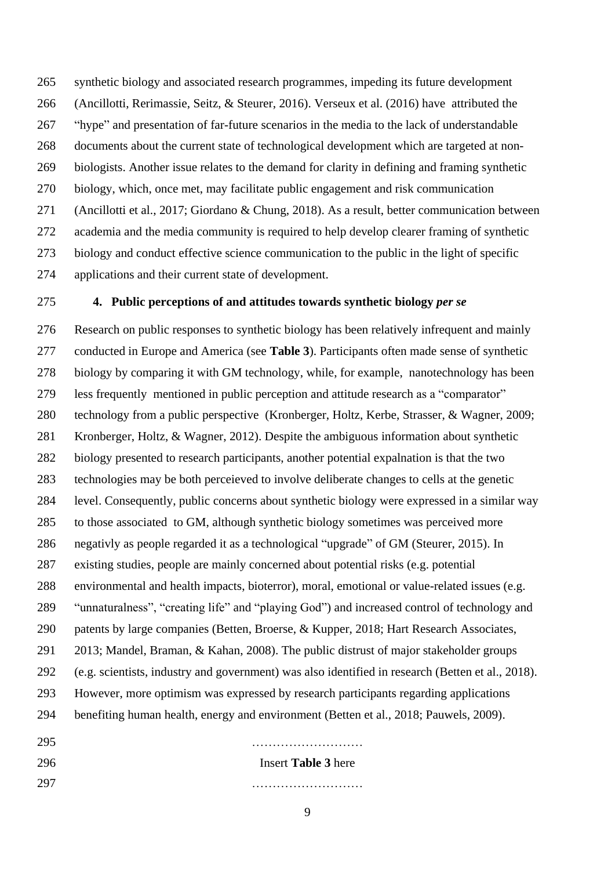synthetic biology and associated research programmes, impeding its future development (Ancillotti, Rerimassie, Seitz, & Steurer, 2016). Verseux et al. (2016) have attributed the "hype" and presentation of far-future scenarios in the media to the lack of understandable documents about the current state of technological development which are targeted at non- biologists. Another issue relates to the demand for clarity in defining and framing synthetic biology, which, once met, may facilitate public engagement and risk communication (Ancillotti et al., 2017; Giordano & Chung, 2018). As a result, better communication between academia and the media community is required to help develop clearer framing of synthetic biology and conduct effective science communication to the public in the light of specific applications and their current state of development.

### **4. Public perceptions of and attitudes towards synthetic biology** *per se*

 Research on public responses to synthetic biology has been relatively infrequent and mainly conducted in Europe and America (see **Table 3**). Participants often made sense of synthetic biology by comparing it with GM technology, while, for example, nanotechnology has been less frequently mentioned in public perception and attitude research as a "comparator" technology from a public perspective (Kronberger, Holtz, Kerbe, Strasser, & Wagner, 2009; Kronberger, Holtz, & Wagner, 2012). Despite the ambiguous information about synthetic biology presented to research participants, another potential expalnation is that the two technologies may be both perceieved to involve deliberate changes to cells at the genetic level. Consequently, public concerns about synthetic biology were expressed in a similar way to those associated to GM, although synthetic biology sometimes was perceived more negativly as people regarded it as a technological "upgrade" of GM (Steurer, 2015). In existing studies, people are mainly concerned about potential risks (e.g. potential environmental and health impacts, bioterror), moral, emotional or value-related issues (e.g. "unnaturalness", "creating life" and "playing God") and increased control of technology and 290 patents by large companies (Betten, Broerse, & Kupper, 2018; Hart Research Associates, 2013; Mandel, Braman, & Kahan, 2008). The public distrust of major stakeholder groups (e.g. scientists, industry and government) was also identified in research (Betten et al., 2018). However, more optimism was expressed by research participants regarding applications benefiting human health, energy and environment (Betten et al., 2018; Pauwels, 2009).

 ……………………… Insert **Table 3** here ………………………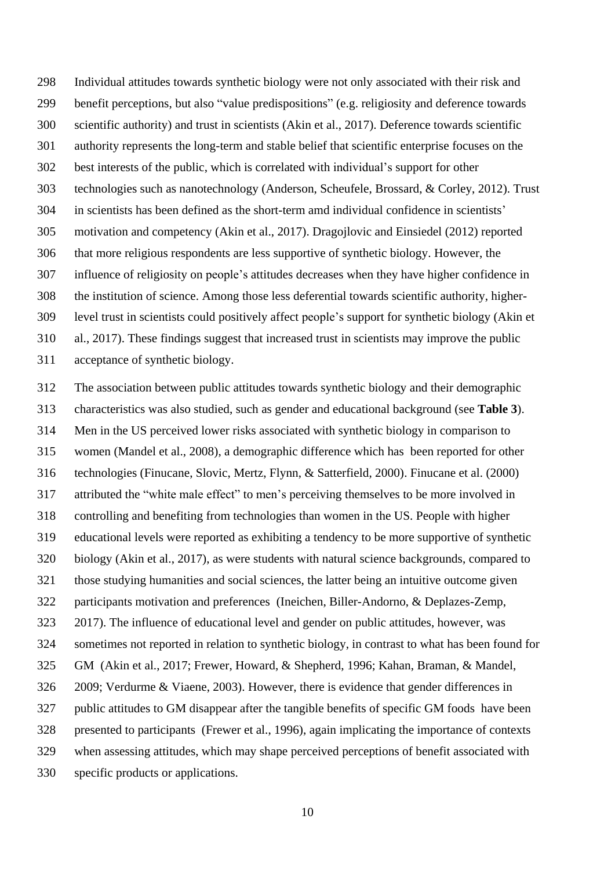Individual attitudes towards synthetic biology were not only associated with their risk and benefit perceptions, but also "value predispositions" (e.g. religiosity and deference towards scientific authority) and trust in scientists (Akin et al., 2017). Deference towards scientific authority represents the long-term and stable belief that scientific enterprise focuses on the best interests of the public, which is correlated with individual's support for other technologies such as nanotechnology (Anderson, Scheufele, Brossard, & Corley, 2012). Trust in scientists has been defined as the short-term amd individual confidence in scientists' motivation and competency (Akin et al., 2017). Dragojlovic and Einsiedel (2012) reported that more religious respondents are less supportive of synthetic biology. However, the influence of religiosity on people's attitudes decreases when they have higher confidence in the institution of science. Among those less deferential towards scientific authority, higher- level trust in scientists could positively affect people's support for synthetic biology (Akin et al., 2017). These findings suggest that increased trust in scientists may improve the public acceptance of synthetic biology.

 The association between public attitudes towards synthetic biology and their demographic characteristics was also studied, such as gender and educational background (see **Table 3**). Men in the US perceived lower risks associated with synthetic biology in comparison to women (Mandel et al., 2008), a demographic difference which has been reported for other technologies (Finucane, Slovic, Mertz, Flynn, & Satterfield, 2000). Finucane et al. (2000) attributed the "white male effect" to men's perceiving themselves to be more involved in controlling and benefiting from technologies than women in the US. People with higher educational levels were reported as exhibiting a tendency to be more supportive of synthetic biology (Akin et al., 2017), as were students with natural science backgrounds, compared to those studying humanities and social sciences, the latter being an intuitive outcome given participants motivation and preferences (Ineichen, Biller-Andorno, & Deplazes-Zemp, 2017). The influence of educational level and gender on public attitudes, however, was sometimes not reported in relation to synthetic biology, in contrast to what has been found for GM (Akin et al., 2017; Frewer, Howard, & Shepherd, 1996; Kahan, Braman, & Mandel, 2009; Verdurme & Viaene, 2003). However, there is evidence that gender differences in public attitudes to GM disappear after the tangible benefits of specific GM foods have been presented to participants (Frewer et al., 1996), again implicating the importance of contexts when assessing attitudes, which may shape perceived perceptions of benefit associated with specific products or applications.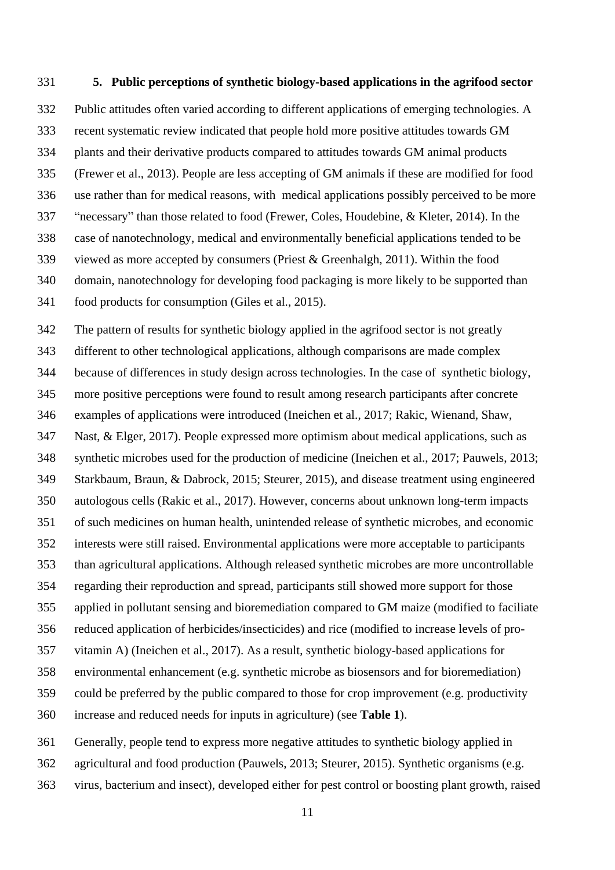### **5. Public perceptions of synthetic biology-based applications in the agrifood sector**

 Public attitudes often varied according to different applications of emerging technologies. A recent systematic review indicated that people hold more positive attitudes towards GM plants and their derivative products compared to attitudes towards GM animal products (Frewer et al., 2013). People are less accepting of GM animals if these are modified for food use rather than for medical reasons, with medical applications possibly perceived to be more "necessary" than those related to food (Frewer, Coles, Houdebine, & Kleter, 2014). In the case of nanotechnology, medical and environmentally beneficial applications tended to be viewed as more accepted by consumers (Priest & Greenhalgh, 2011). Within the food domain, nanotechnology for developing food packaging is more likely to be supported than food products for consumption (Giles et al., 2015).

 The pattern of results for synthetic biology applied in the agrifood sector is not greatly different to other technological applications, although comparisons are made complex because of differences in study design across technologies. In the case of synthetic biology, more positive perceptions were found to result among research participants after concrete examples of applications were introduced (Ineichen et al., 2017; Rakic, Wienand, Shaw, Nast, & Elger, 2017). People expressed more optimism about medical applications, such as synthetic microbes used for the production of medicine (Ineichen et al., 2017; Pauwels, 2013; Starkbaum, Braun, & Dabrock, 2015; Steurer, 2015), and disease treatment using engineered autologous cells (Rakic et al., 2017). However, concerns about unknown long-term impacts of such medicines on human health, unintended release of synthetic microbes, and economic interests were still raised. Environmental applications were more acceptable to participants than agricultural applications. Although released synthetic microbes are more uncontrollable regarding their reproduction and spread, participants still showed more support for those applied in pollutant sensing and bioremediation compared to GM maize (modified to faciliate reduced application of herbicides/insecticides) and rice (modified to increase levels of pro- vitamin A) (Ineichen et al., 2017). As a result, synthetic biology-based applications for environmental enhancement (e.g. synthetic microbe as biosensors and for bioremediation) could be preferred by the public compared to those for crop improvement (e.g. productivity increase and reduced needs for inputs in agriculture) (see **Table 1**).

Generally, people tend to express more negative attitudes to synthetic biology applied in

agricultural and food production (Pauwels, 2013; Steurer, 2015). Synthetic organisms (e.g.

virus, bacterium and insect), developed either for pest control or boosting plant growth, raised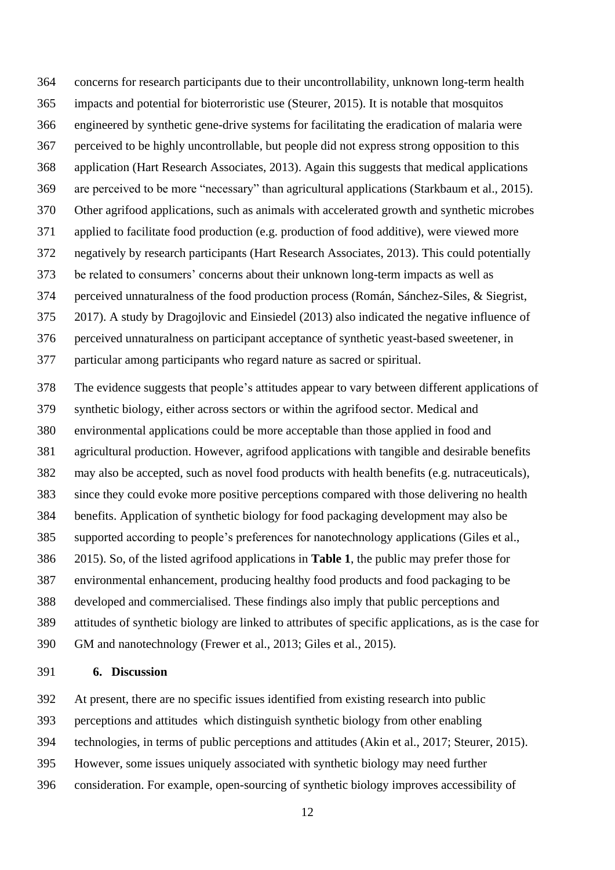concerns for research participants due to their uncontrollability, unknown long-term health impacts and potential for bioterroristic use (Steurer, 2015). It is notable that mosquitos engineered by synthetic gene-drive systems for facilitating the eradication of malaria were perceived to be highly uncontrollable, but people did not express strong opposition to this application (Hart Research Associates, 2013). Again this suggests that medical applications are perceived to be more "necessary" than agricultural applications (Starkbaum et al., 2015). Other agrifood applications, such as animals with accelerated growth and synthetic microbes applied to facilitate food production (e.g. production of food additive), were viewed more negatively by research participants (Hart Research Associates, 2013). This could potentially be related to consumers' concerns about their unknown long-term impacts as well as perceived unnaturalness of the food production process (Román, Sánchez-Siles, & Siegrist, 2017). A study by Dragojlovic and Einsiedel (2013) also indicated the negative influence of perceived unnaturalness on participant acceptance of synthetic yeast-based sweetener, in particular among participants who regard nature as sacred or spiritual.

 The evidence suggests that people's attitudes appear to vary between different applications of synthetic biology, either across sectors or within the agrifood sector. Medical and environmental applications could be more acceptable than those applied in food and agricultural production. However, agrifood applications with tangible and desirable benefits may also be accepted, such as novel food products with health benefits (e.g. nutraceuticals), since they could evoke more positive perceptions compared with those delivering no health benefits. Application of synthetic biology for food packaging development may also be supported according to people's preferences for nanotechnology applications (Giles et al., 2015). So, of the listed agrifood applications in **Table 1**, the public may prefer those for environmental enhancement, producing healthy food products and food packaging to be developed and commercialised. These findings also imply that public perceptions and attitudes of synthetic biology are linked to attributes of specific applications, as is the case for GM and nanotechnology (Frewer et al., 2013; Giles et al., 2015).

### **6. Discussion**

At present, there are no specific issues identified from existing research into public

- perceptions and attitudes which distinguish synthetic biology from other enabling
- technologies, in terms of public perceptions and attitudes (Akin et al., 2017; Steurer, 2015).
- However, some issues uniquely associated with synthetic biology may need further
- consideration. For example, open-sourcing of synthetic biology improves accessibility of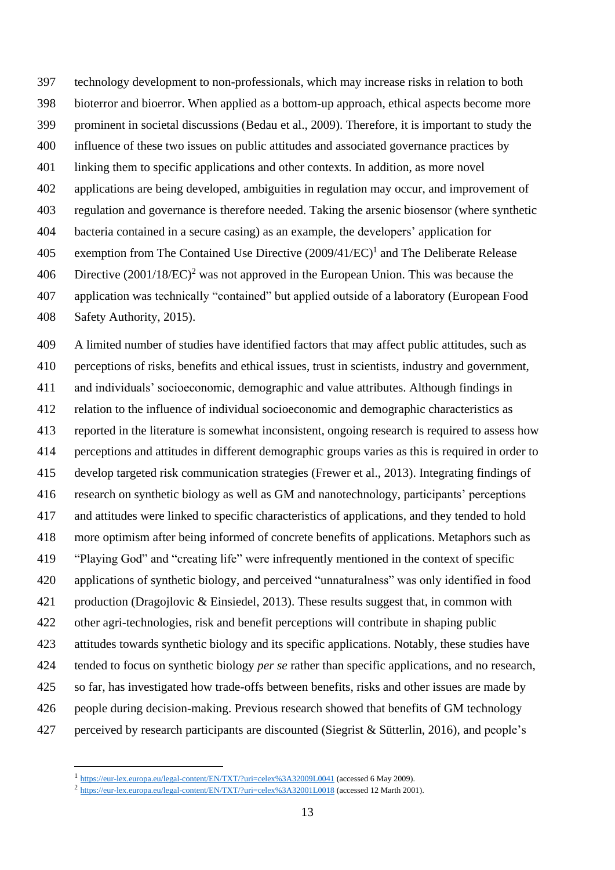technology development to non-professionals, which may increase risks in relation to both bioterror and bioerror. When applied as a bottom-up approach, ethical aspects become more prominent in societal discussions (Bedau et al., 2009). Therefore, it is important to study the influence of these two issues on public attitudes and associated governance practices by linking them to specific applications and other contexts. In addition, as more novel applications are being developed, ambiguities in regulation may occur, and improvement of regulation and governance is therefore needed. Taking the arsenic biosensor (where synthetic bacteria contained in a secure casing) as an example, the developers' application for 405 exemption from The Contained Use Directive  $(2009/41/EC)^1$  and The Deliberate Release 406 Directive  $(2001/18/EC)^2$  was not approved in the European Union. This was because the application was technically "contained" but applied outside of a laboratory (European Food Safety Authority, 2015).

 A limited number of studies have identified factors that may affect public attitudes, such as perceptions of risks, benefits and ethical issues, trust in scientists, industry and government, and individuals' socioeconomic, demographic and value attributes. Although findings in relation to the influence of individual socioeconomic and demographic characteristics as reported in the literature is somewhat inconsistent, ongoing research is required to assess how perceptions and attitudes in different demographic groups varies as this is required in order to develop targeted risk communication strategies (Frewer et al., 2013). Integrating findings of research on synthetic biology as well as GM and nanotechnology, participants' perceptions and attitudes were linked to specific characteristics of applications, and they tended to hold more optimism after being informed of concrete benefits of applications. Metaphors such as "Playing God" and "creating life" were infrequently mentioned in the context of specific applications of synthetic biology, and perceived "unnaturalness" was only identified in food production (Dragojlovic & Einsiedel, 2013). These results suggest that, in common with other agri-technologies, risk and benefit perceptions will contribute in shaping public attitudes towards synthetic biology and its specific applications. Notably, these studies have tended to focus on synthetic biology *per se* rather than specific applications, and no research, so far, has investigated how trade-offs between benefits, risks and other issues are made by people during decision-making. Previous research showed that benefits of GM technology perceived by research participants are discounted (Siegrist & Sütterlin, 2016), and people's

<u>.</u>

<https://eur-lex.europa.eu/legal-content/EN/TXT/?uri=celex%3A32009L0041> (accessed 6 May 2009).

<sup>&</sup>lt;sup>2</sup> <https://eur-lex.europa.eu/legal-content/EN/TXT/?uri=celex%3A32001L0018> (accessed 12 Marth 2001).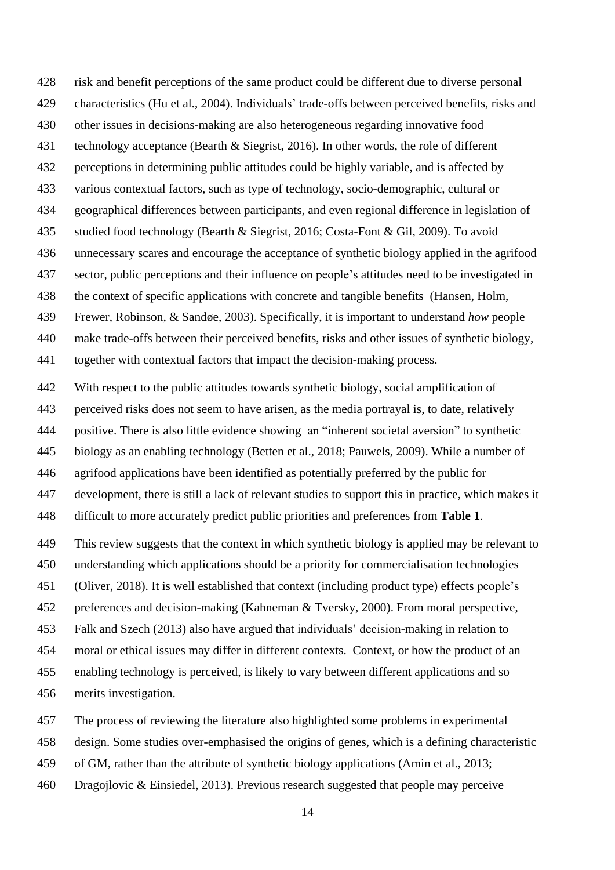risk and benefit perceptions of the same product could be different due to diverse personal characteristics (Hu et al., 2004). Individuals' trade-offs between perceived benefits, risks and other issues in decisions-making are also heterogeneous regarding innovative food technology acceptance (Bearth & Siegrist, 2016). In other words, the role of different perceptions in determining public attitudes could be highly variable, and is affected by various contextual factors, such as type of technology, socio-demographic, cultural or geographical differences between participants, and even regional difference in legislation of studied food technology (Bearth & Siegrist, 2016; Costa-Font & Gil, 2009). To avoid unnecessary scares and encourage the acceptance of synthetic biology applied in the agrifood sector, public perceptions and their influence on people's attitudes need to be investigated in the context of specific applications with concrete and tangible benefits (Hansen, Holm, Frewer, Robinson, & Sandøe, 2003). Specifically, it is important to understand *how* people make trade-offs between their perceived benefits, risks and other issues of synthetic biology, together with contextual factors that impact the decision-making process.

 With respect to the public attitudes towards synthetic biology, social amplification of perceived risks does not seem to have arisen, as the media portrayal is, to date, relatively positive. There is also little evidence showing an "inherent societal aversion" to synthetic biology as an enabling technology (Betten et al., 2018; Pauwels, 2009). While a number of agrifood applications have been identified as potentially preferred by the public for development, there is still a lack of relevant studies to support this in practice, which makes it difficult to more accurately predict public priorities and preferences from **Table 1**.

 This review suggests that the context in which synthetic biology is applied may be relevant to understanding which applications should be a priority for commercialisation technologies (Oliver, 2018). It is well established that context (including product type) effects people's preferences and decision-making (Kahneman & Tversky, 2000). From moral perspective, Falk and Szech (2013) also have argued that individuals' decision-making in relation to moral or ethical issues may differ in different contexts. Context, or how the product of an enabling technology is perceived, is likely to vary between different applications and so merits investigation.

The process of reviewing the literature also highlighted some problems in experimental

design. Some studies over-emphasised the origins of genes, which is a defining characteristic

of GM, rather than the attribute of synthetic biology applications (Amin et al., 2013;

Dragojlovic & Einsiedel, 2013). Previous research suggested that people may perceive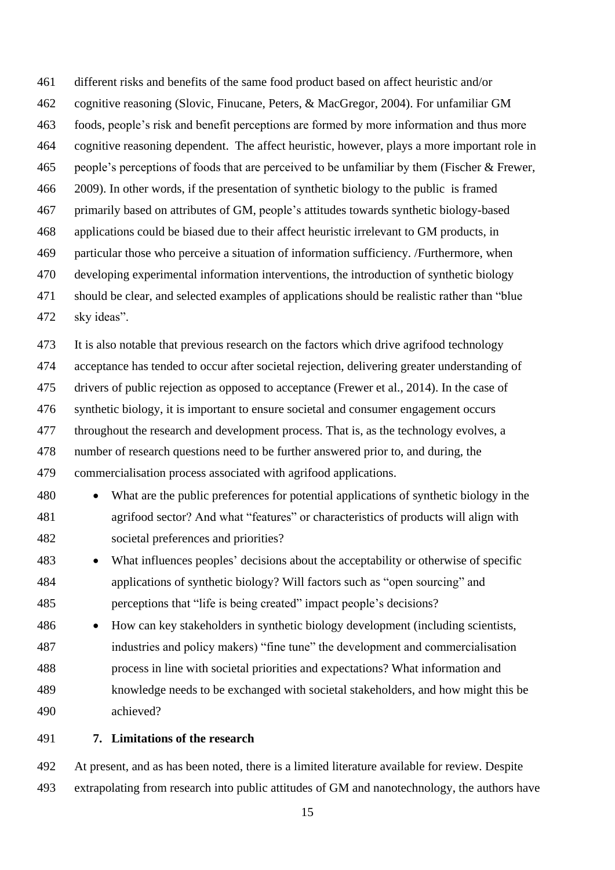different risks and benefits of the same food product based on affect heuristic and/or cognitive reasoning (Slovic, Finucane, Peters, & MacGregor, 2004). For unfamiliar GM foods, people's risk and benefit perceptions are formed by more information and thus more cognitive reasoning dependent. The affect heuristic, however, plays a more important role in people's perceptions of foods that are perceived to be unfamiliar by them (Fischer & Frewer, 2009). In other words, if the presentation of synthetic biology to the public is framed primarily based on attributes of GM, people's attitudes towards synthetic biology-based applications could be biased due to their affect heuristic irrelevant to GM products, in particular those who perceive a situation of information sufficiency. /Furthermore, when developing experimental information interventions, the introduction of synthetic biology should be clear, and selected examples of applications should be realistic rather than "blue sky ideas".

 It is also notable that previous research on the factors which drive agrifood technology acceptance has tended to occur after societal rejection, delivering greater understanding of drivers of public rejection as opposed to acceptance (Frewer et al., 2014). In the case of synthetic biology, it is important to ensure societal and consumer engagement occurs throughout the research and development process. That is, as the technology evolves, a number of research questions need to be further answered prior to, and during, the commercialisation process associated with agrifood applications.

- What are the public preferences for potential applications of synthetic biology in the agrifood sector? And what "features" or characteristics of products will align with societal preferences and priorities?
- What influences peoples' decisions about the acceptability or otherwise of specific applications of synthetic biology? Will factors such as "open sourcing" and perceptions that "life is being created" impact people's decisions?
- How can key stakeholders in synthetic biology development (including scientists, industries and policy makers) "fine tune" the development and commercialisation process in line with societal priorities and expectations? What information and knowledge needs to be exchanged with societal stakeholders, and how might this be achieved?

### **7. Limitations of the research**

 At present, and as has been noted, there is a limited literature available for review. Despite extrapolating from research into public attitudes of GM and nanotechnology, the authors have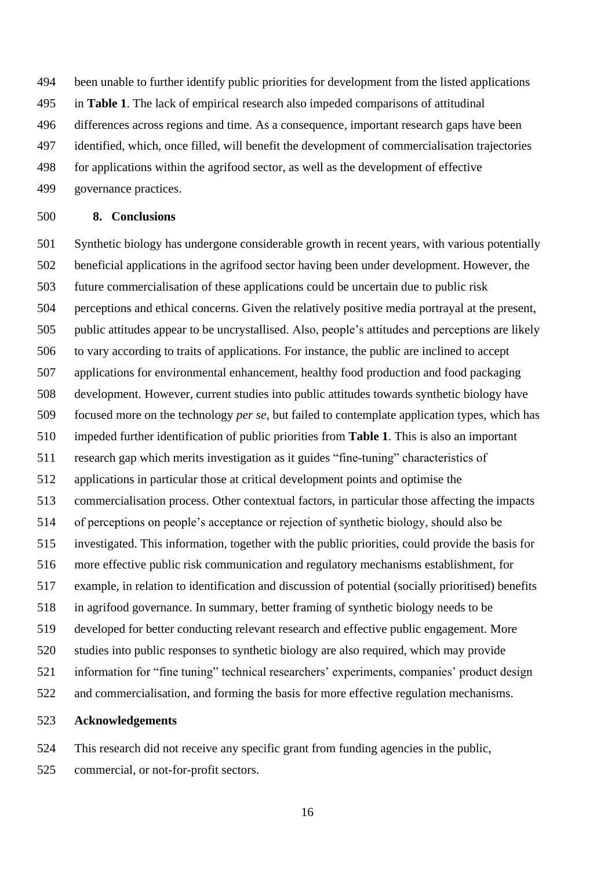been unable to further identify public priorities for development from the listed applications in **Table 1**. The lack of empirical research also impeded comparisons of attitudinal differences across regions and time. As a consequence, important research gaps have been identified, which, once filled, will benefit the development of commercialisation trajectories for applications within the agrifood sector, as well as the development of effective governance practices.

### **8. Conclusions**

 Synthetic biology has undergone considerable growth in recent years, with various potentially beneficial applications in the agrifood sector having been under development. However, the future commercialisation of these applications could be uncertain due to public risk perceptions and ethical concerns. Given the relatively positive media portrayal at the present, public attitudes appear to be uncrystallised. Also, people's attitudes and perceptions are likely to vary according to traits of applications. For instance, the public are inclined to accept applications for environmental enhancement, healthy food production and food packaging development. However, current studies into public attitudes towards synthetic biology have focused more on the technology *per se*, but failed to contemplate application types, which has impeded further identification of public priorities from **Table 1**. This is also an important research gap which merits investigation as it guides "fine-tuning" characteristics of applications in particular those at critical development points and optimise the commercialisation process. Other contextual factors, in particular those affecting the impacts of perceptions on people's acceptance or rejection of synthetic biology, should also be investigated. This information, together with the public priorities, could provide the basis for more effective public risk communication and regulatory mechanisms establishment, for example, in relation to identification and discussion of potential (socially prioritised) benefits in agrifood governance. In summary, better framing of synthetic biology needs to be developed for better conducting relevant research and effective public engagement. More studies into public responses to synthetic biology are also required, which may provide information for "fine tuning" technical researchers' experiments, companies' product design and commercialisation, and forming the basis for more effective regulation mechanisms.

## **Acknowledgements**

 This research did not receive any specific grant from funding agencies in the public, commercial, or not-for-profit sectors.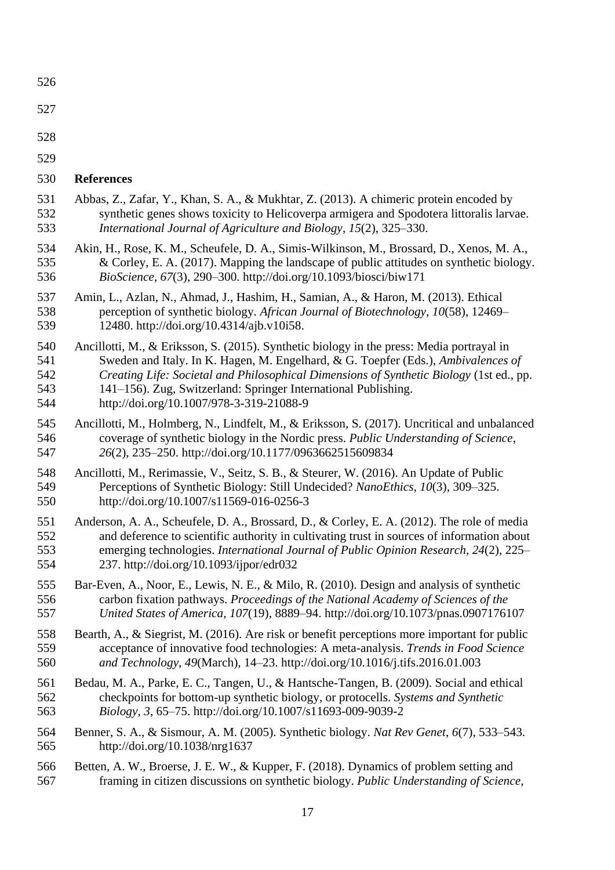| 526 |                                                                                              |
|-----|----------------------------------------------------------------------------------------------|
| 527 |                                                                                              |
| 528 |                                                                                              |
| 529 |                                                                                              |
| 530 | <b>References</b>                                                                            |
| 531 | Abbas, Z., Zafar, Y., Khan, S. A., & Mukhtar, Z. (2013). A chimeric protein encoded by       |
| 532 | synthetic genes shows toxicity to Helicoverpa armigera and Spodotera littoralis larvae.      |
| 533 | International Journal of Agriculture and Biology, 15(2), 325–330.                            |
| 534 | Akin, H., Rose, K. M., Scheufele, D. A., Simis-Wilkinson, M., Brossard, D., Xenos, M. A.,    |
| 535 | & Corley, E. A. (2017). Mapping the landscape of public attitudes on synthetic biology.      |
| 536 | BioScience, 67(3), 290-300. http://doi.org/10.1093/biosci/biw171                             |
| 537 | Amin, L., Azlan, N., Ahmad, J., Hashim, H., Samian, A., & Haron, M. (2013). Ethical          |
| 538 | perception of synthetic biology. African Journal of Biotechnology, 10(58), 12469–            |
| 539 | 12480. http://doi.org/10.4314/ajb.v10i58.                                                    |
| 540 | Ancillotti, M., & Eriksson, S. (2015). Synthetic biology in the press: Media portrayal in    |
| 541 | Sweden and Italy. In K. Hagen, M. Engelhard, & G. Toepfer (Eds.), Ambivalences of            |
| 542 | Creating Life: Societal and Philosophical Dimensions of Synthetic Biology (1st ed., pp.      |
| 543 | 141–156). Zug, Switzerland: Springer International Publishing.                               |
| 544 | http://doi.org/10.1007/978-3-319-21088-9                                                     |
| 545 | Ancillotti, M., Holmberg, N., Lindfelt, M., & Eriksson, S. (2017). Uncritical and unbalanced |
| 546 | coverage of synthetic biology in the Nordic press. Public Understanding of Science,          |
| 547 | 26(2), 235-250. http://doi.org/10.1177/0963662515609834                                      |
| 548 | Ancillotti, M., Rerimassie, V., Seitz, S. B., & Steurer, W. (2016). An Update of Public      |
| 549 | Perceptions of Synthetic Biology: Still Undecided? NanoEthics, 10(3), 309–325.               |
| 550 | http://doi.org/10.1007/s11569-016-0256-3                                                     |
| 551 | Anderson, A. A., Scheufele, D. A., Brossard, D., & Corley, E. A. (2012). The role of media   |
| 552 | and deference to scientific authority in cultivating trust in sources of information about   |
| 553 | emerging technologies. International Journal of Public Opinion Research, 24(2), 225–         |
| 554 | 237. http://doi.org/10.1093/ijpor/edr032                                                     |
| 555 | Bar-Even, A., Noor, E., Lewis, N. E., & Milo, R. (2010). Design and analysis of synthetic    |
| 556 | carbon fixation pathways. Proceedings of the National Academy of Sciences of the             |
| 557 | United States of America, 107(19), 8889-94. http://doi.org/10.1073/pnas.0907176107           |
| 558 | Bearth, A., & Siegrist, M. (2016). Are risk or benefit perceptions more important for public |
| 559 | acceptance of innovative food technologies: A meta-analysis. Trends in Food Science          |
| 560 | and Technology, 49(March), 14-23. http://doi.org/10.1016/j.tifs.2016.01.003                  |
| 561 | Bedau, M. A., Parke, E. C., Tangen, U., & Hantsche-Tangen, B. (2009). Social and ethical     |
| 562 | checkpoints for bottom-up synthetic biology, or protocells. Systems and Synthetic            |
| 563 | <i>Biology</i> , 3, 65–75. http://doi.org/10.1007/s11693-009-9039-2                          |
| 564 | Benner, S. A., & Sismour, A. M. (2005). Synthetic biology. Nat Rev Genet, 6(7), 533–543.     |
| 565 | http://doi.org/10.1038/nrg1637                                                               |
| 566 | Betten, A. W., Broerse, J. E. W., & Kupper, F. (2018). Dynamics of problem setting and       |
| 567 | framing in citizen discussions on synthetic biology. Public Understanding of Science,        |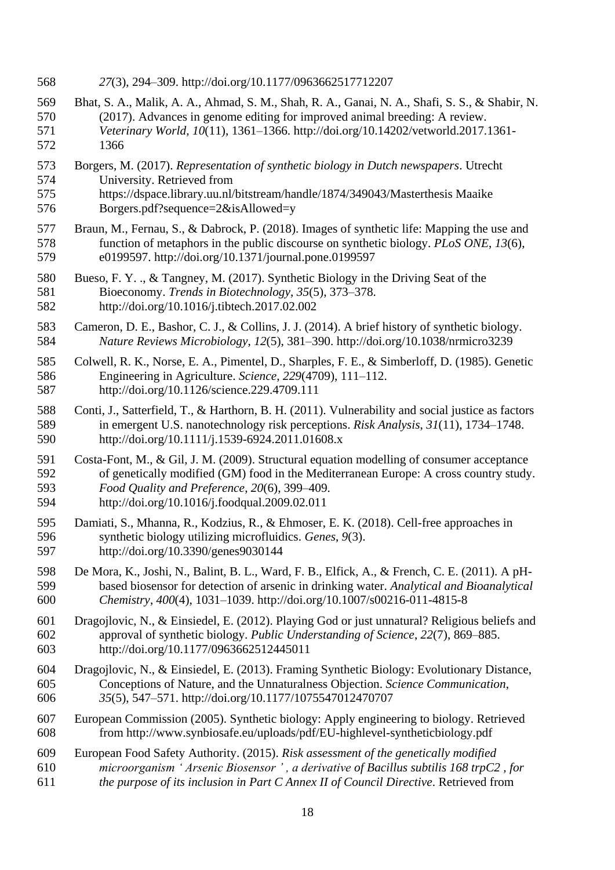- *27*(3), 294–309. http://doi.org/10.1177/0963662517712207
- Bhat, S. A., Malik, A. A., Ahmad, S. M., Shah, R. A., Ganai, N. A., Shafi, S. S., & Shabir, N. (2017). Advances in genome editing for improved animal breeding: A review. *Veterinary World*, *10*(11), 1361–1366. http://doi.org/10.14202/vetworld.2017.1361- 1366
- Borgers, M. (2017). *Representation of synthetic biology in Dutch newspapers*. Utrecht University. Retrieved from
- https://dspace.library.uu.nl/bitstream/handle/1874/349043/Masterthesis Maaike Borgers.pdf?sequence=2&isAllowed=y
- Braun, M., Fernau, S., & Dabrock, P. (2018). Images of synthetic life: Mapping the use and function of metaphors in the public discourse on synthetic biology. *PLoS ONE*, *13*(6), e0199597. http://doi.org/10.1371/journal.pone.0199597
- Bueso, F. Y. ., & Tangney, M. (2017). Synthetic Biology in the Driving Seat of the Bioeconomy. *Trends in Biotechnology*, *35*(5), 373–378. http://doi.org/10.1016/j.tibtech.2017.02.002
- Cameron, D. E., Bashor, C. J., & Collins, J. J. (2014). A brief history of synthetic biology. *Nature Reviews Microbiology*, *12*(5), 381–390. http://doi.org/10.1038/nrmicro3239
- Colwell, R. K., Norse, E. A., Pimentel, D., Sharples, F. E., & Simberloff, D. (1985). Genetic Engineering in Agriculture. *Science*, *229*(4709), 111–112. http://doi.org/10.1126/science.229.4709.111
- Conti, J., Satterfield, T., & Harthorn, B. H. (2011). Vulnerability and social justice as factors in emergent U.S. nanotechnology risk perceptions. *Risk Analysis*, *31*(11), 1734–1748. http://doi.org/10.1111/j.1539-6924.2011.01608.x
- Costa-Font, M., & Gil, J. M. (2009). Structural equation modelling of consumer acceptance of genetically modified (GM) food in the Mediterranean Europe: A cross country study. *Food Quality and Preference*, *20*(6), 399–409. http://doi.org/10.1016/j.foodqual.2009.02.011
- Damiati, S., Mhanna, R., Kodzius, R., & Ehmoser, E. K. (2018). Cell-free approaches in synthetic biology utilizing microfluidics. *Genes*, *9*(3). http://doi.org/10.3390/genes9030144
- De Mora, K., Joshi, N., Balint, B. L., Ward, F. B., Elfick, A., & French, C. E. (2011). A pH- based biosensor for detection of arsenic in drinking water. *Analytical and Bioanalytical Chemistry*, *400*(4), 1031–1039. http://doi.org/10.1007/s00216-011-4815-8
- Dragojlovic, N., & Einsiedel, E. (2012). Playing God or just unnatural? Religious beliefs and approval of synthetic biology. *Public Understanding of Science*, *22*(7), 869–885. http://doi.org/10.1177/0963662512445011
- Dragojlovic, N., & Einsiedel, E. (2013). Framing Synthetic Biology: Evolutionary Distance, Conceptions of Nature, and the Unnaturalness Objection. *Science Communication*, *35*(5), 547–571. http://doi.org/10.1177/1075547012470707
- European Commission (2005). Synthetic biology: Apply engineering to biology. Retrieved from http://www.synbiosafe.eu/uploads/pdf/EU-highlevel-syntheticbiology.pdf
- European Food Safety Authority. (2015). *Risk assessment of the genetically modified microorganism ' Arsenic Biosensor ' , a derivative of Bacillus subtilis 168 trpC2 , for*
- *the purpose of its inclusion in Part C Annex II of Council Directive*. Retrieved from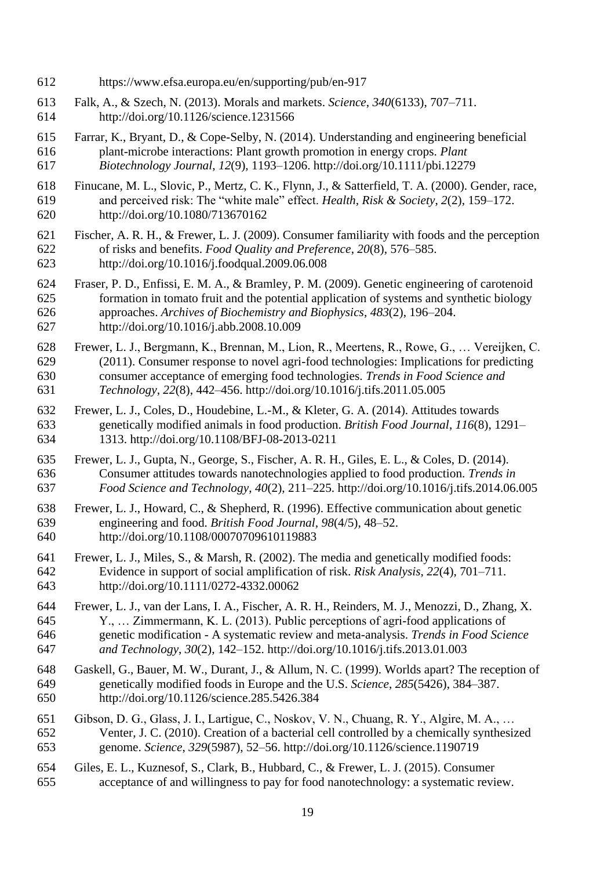- https://www.efsa.europa.eu/en/supporting/pub/en-917
- Falk, A., & Szech, N. (2013). Morals and markets. *Science*, *340*(6133), 707–711. http://doi.org/10.1126/science.1231566
- Farrar, K., Bryant, D., & Cope-Selby, N. (2014). Understanding and engineering beneficial plant-microbe interactions: Plant growth promotion in energy crops. *Plant Biotechnology Journal*, *12*(9), 1193–1206. http://doi.org/10.1111/pbi.12279
- Finucane, M. L., Slovic, P., Mertz, C. K., Flynn, J., & Satterfield, T. A. (2000). Gender, race, and perceived risk: The "white male" effect. *Health, Risk & Society*, *2*(2), 159–172. http://doi.org/10.1080/713670162
- Fischer, A. R. H., & Frewer, L. J. (2009). Consumer familiarity with foods and the perception of risks and benefits. *Food Quality and Preference*, *20*(8), 576–585. http://doi.org/10.1016/j.foodqual.2009.06.008
- Fraser, P. D., Enfissi, E. M. A., & Bramley, P. M. (2009). Genetic engineering of carotenoid formation in tomato fruit and the potential application of systems and synthetic biology approaches. *Archives of Biochemistry and Biophysics*, *483*(2), 196–204. http://doi.org/10.1016/j.abb.2008.10.009
- Frewer, L. J., Bergmann, K., Brennan, M., Lion, R., Meertens, R., Rowe, G., … Vereijken, C. (2011). Consumer response to novel agri-food technologies: Implications for predicting consumer acceptance of emerging food technologies. *Trends in Food Science and Technology*, *22*(8), 442–456. http://doi.org/10.1016/j.tifs.2011.05.005
- Frewer, L. J., Coles, D., Houdebine, L.-M., & Kleter, G. A. (2014). Attitudes towards genetically modified animals in food production. *British Food Journal*, *116*(8), 1291– 1313. http://doi.org/10.1108/BFJ-08-2013-0211
- Frewer, L. J., Gupta, N., George, S., Fischer, A. R. H., Giles, E. L., & Coles, D. (2014). Consumer attitudes towards nanotechnologies applied to food production. *Trends in Food Science and Technology*, *40*(2), 211–225. http://doi.org/10.1016/j.tifs.2014.06.005
- Frewer, L. J., Howard, C., & Shepherd, R. (1996). Effective communication about genetic engineering and food. *British Food Journal*, *98*(4/5), 48–52. http://doi.org/10.1108/00070709610119883
- Frewer, L. J., Miles, S., & Marsh, R. (2002). The media and genetically modified foods: Evidence in support of social amplification of risk. *Risk Analysis*, *22*(4), 701–711. http://doi.org/10.1111/0272-4332.00062
- Frewer, L. J., van der Lans, I. A., Fischer, A. R. H., Reinders, M. J., Menozzi, D., Zhang, X. Y., … Zimmermann, K. L. (2013). Public perceptions of agri-food applications of genetic modification - A systematic review and meta-analysis. *Trends in Food Science and Technology*, *30*(2), 142–152. http://doi.org/10.1016/j.tifs.2013.01.003
- Gaskell, G., Bauer, M. W., Durant, J., & Allum, N. C. (1999). Worlds apart? The reception of genetically modified foods in Europe and the U.S. *Science*, *285*(5426), 384–387. http://doi.org/10.1126/science.285.5426.384
- Gibson, D. G., Glass, J. I., Lartigue, C., Noskov, V. N., Chuang, R. Y., Algire, M. A., … Venter, J. C. (2010). Creation of a bacterial cell controlled by a chemically synthesized genome. *Science*, *329*(5987), 52–56. http://doi.org/10.1126/science.1190719
- Giles, E. L., Kuznesof, S., Clark, B., Hubbard, C., & Frewer, L. J. (2015). Consumer acceptance of and willingness to pay for food nanotechnology: a systematic review.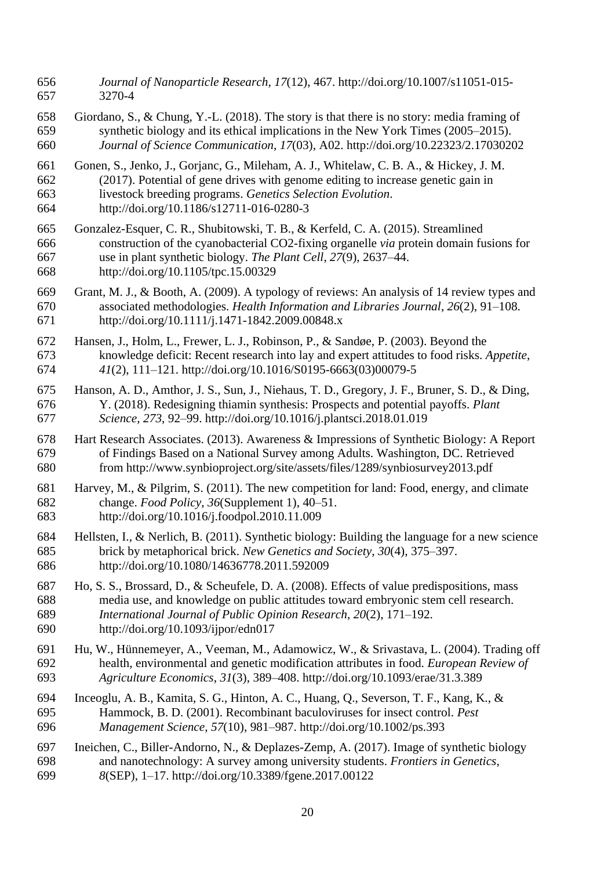- *Journal of Nanoparticle Research*, *17*(12), 467. http://doi.org/10.1007/s11051-015- 3270-4
- Giordano, S., & Chung, Y.-L. (2018). The story is that there is no story: media framing of synthetic biology and its ethical implications in the New York Times (2005–2015). *Journal of Science Communication*, *17*(03), A02. http://doi.org/10.22323/2.17030202
- Gonen, S., Jenko, J., Gorjanc, G., Mileham, A. J., Whitelaw, C. B. A., & Hickey, J. M. (2017). Potential of gene drives with genome editing to increase genetic gain in livestock breeding programs. *Genetics Selection Evolution*.
- http://doi.org/10.1186/s12711-016-0280-3
- Gonzalez-Esquer, C. R., Shubitowski, T. B., & Kerfeld, C. A. (2015). Streamlined construction of the cyanobacterial CO2-fixing organelle *via* protein domain fusions for use in plant synthetic biology. *The Plant Cell*, *27*(9), 2637–44. http://doi.org/10.1105/tpc.15.00329
- Grant, M. J., & Booth, A. (2009). A typology of reviews: An analysis of 14 review types and associated methodologies. *Health Information and Libraries Journal*, *26*(2), 91–108. http://doi.org/10.1111/j.1471-1842.2009.00848.x
- Hansen, J., Holm, L., Frewer, L. J., Robinson, P., & Sandøe, P. (2003). Beyond the knowledge deficit: Recent research into lay and expert attitudes to food risks. *Appetite*, *41*(2), 111–121. http://doi.org/10.1016/S0195-6663(03)00079-5
- Hanson, A. D., Amthor, J. S., Sun, J., Niehaus, T. D., Gregory, J. F., Bruner, S. D., & Ding, Y. (2018). Redesigning thiamin synthesis: Prospects and potential payoffs. *Plant Science*, *273*, 92–99. http://doi.org/10.1016/j.plantsci.2018.01.019
- Hart Research Associates. (2013). Awareness & Impressions of Synthetic Biology: A Report of Findings Based on a National Survey among Adults. Washington, DC. Retrieved from http://www.synbioproject.org/site/assets/files/1289/synbiosurvey2013.pdf
- Harvey, M., & Pilgrim, S. (2011). The new competition for land: Food, energy, and climate change. *Food Policy*, *36*(Supplement 1), 40–51. http://doi.org/10.1016/j.foodpol.2010.11.009
- Hellsten, I., & Nerlich, B. (2011). Synthetic biology: Building the language for a new science brick by metaphorical brick. *New Genetics and Society*, *30*(4), 375–397. http://doi.org/10.1080/14636778.2011.592009
- Ho, S. S., Brossard, D., & Scheufele, D. A. (2008). Effects of value predispositions, mass media use, and knowledge on public attitudes toward embryonic stem cell research. *International Journal of Public Opinion Research*, *20*(2), 171–192. http://doi.org/10.1093/ijpor/edn017
- Hu, W., Hünnemeyer, A., Veeman, M., Adamowicz, W., & Srivastava, L. (2004). Trading off health, environmental and genetic modification attributes in food. *European Review of Agriculture Economics*, *31*(3), 389–408. http://doi.org/10.1093/erae/31.3.389
- Inceoglu, A. B., Kamita, S. G., Hinton, A. C., Huang, Q., Severson, T. F., Kang, K., & Hammock, B. D. (2001). Recombinant baculoviruses for insect control. *Pest Management Science*, *57*(10), 981–987. http://doi.org/10.1002/ps.393
- Ineichen, C., Biller-Andorno, N., & Deplazes-Zemp, A. (2017). Image of synthetic biology and nanotechnology: A survey among university students. *Frontiers in Genetics*, *8*(SEP), 1–17. http://doi.org/10.3389/fgene.2017.00122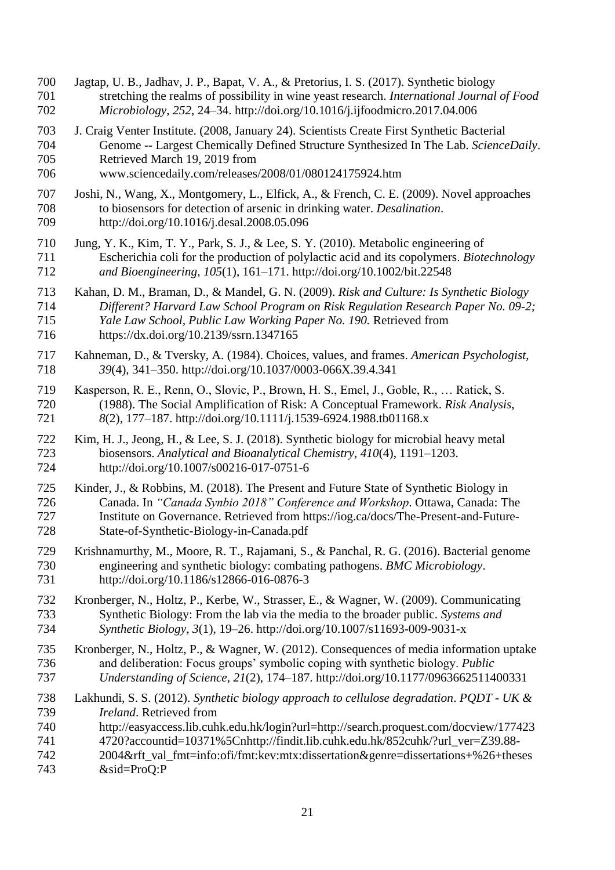- Jagtap, U. B., Jadhav, J. P., Bapat, V. A., & Pretorius, I. S. (2017). Synthetic biology stretching the realms of possibility in wine yeast research. *International Journal of Food Microbiology*, *252*, 24–34. http://doi.org/10.1016/j.ijfoodmicro.2017.04.006
- J. Craig Venter Institute. (2008, January 24). Scientists Create First Synthetic Bacterial Genome -- Largest Chemically Defined Structure Synthesized In The Lab. *ScienceDaily*. Retrieved March 19, 2019 from
- www.sciencedaily.com/releases/2008/01/080124175924.htm
- Joshi, N., Wang, X., Montgomery, L., Elfick, A., & French, C. E. (2009). Novel approaches to biosensors for detection of arsenic in drinking water. *Desalination*. http://doi.org/10.1016/j.desal.2008.05.096
- Jung, Y. K., Kim, T. Y., Park, S. J., & Lee, S. Y. (2010). Metabolic engineering of Escherichia coli for the production of polylactic acid and its copolymers. *Biotechnology and Bioengineering*, *105*(1), 161–171. http://doi.org/10.1002/bit.22548
- Kahan, D. M., Braman, D., & Mandel, G. N. (2009). *Risk and Culture: Is Synthetic Biology Different? Harvard Law School Program on Risk Regulation Research Paper No. 09-2; Yale Law School, Public Law Working Paper No. 190.* Retrieved from https://dx.doi.org/10.2139/ssrn.1347165
- 
- Kahneman, D., & Tversky, A. (1984). Choices, values, and frames. *American Psychologist*, *39*(4), 341–350. http://doi.org/10.1037/0003-066X.39.4.341
- Kasperson, R. E., Renn, O., Slovic, P., Brown, H. S., Emel, J., Goble, R., … Ratick, S. (1988). The Social Amplification of Risk: A Conceptual Framework. *Risk Analysis*, *8*(2), 177–187. http://doi.org/10.1111/j.1539-6924.1988.tb01168.x
- Kim, H. J., Jeong, H., & Lee, S. J. (2018). Synthetic biology for microbial heavy metal biosensors. *Analytical and Bioanalytical Chemistry*, *410*(4), 1191–1203. http://doi.org/10.1007/s00216-017-0751-6
- Kinder, J., & Robbins, M. (2018). The Present and Future State of Synthetic Biology in Canada. In *"Canada Synbio 2018" Conference and Workshop*. Ottawa, Canada: The Institute on Governance. Retrieved from https://iog.ca/docs/The-Present-and-Future-State-of-Synthetic-Biology-in-Canada.pdf
- Krishnamurthy, M., Moore, R. T., Rajamani, S., & Panchal, R. G. (2016). Bacterial genome engineering and synthetic biology: combating pathogens. *BMC Microbiology*. http://doi.org/10.1186/s12866-016-0876-3
- Kronberger, N., Holtz, P., Kerbe, W., Strasser, E., & Wagner, W. (2009). Communicating Synthetic Biology: From the lab via the media to the broader public. *Systems and Synthetic Biology*, *3*(1), 19–26. http://doi.org/10.1007/s11693-009-9031-x
- Kronberger, N., Holtz, P., & Wagner, W. (2012). Consequences of media information uptake and deliberation: Focus groups' symbolic coping with synthetic biology. *Public Understanding of Science*, *21*(2), 174–187. http://doi.org/10.1177/0963662511400331
- Lakhundi, S. S. (2012). *Synthetic biology approach to cellulose degradation*. *PQDT - UK & Ireland*. Retrieved from
- http://easyaccess.lib.cuhk.edu.hk/login?url=http://search.proquest.com/docview/177423
- 4720?accountid=10371%5Cnhttp://findit.lib.cuhk.edu.hk/852cuhk/?url\_ver=Z39.88-
- 2004&rft\_val\_fmt=info:ofi/fmt:kev:mtx:dissertation&genre=dissertations+%26+theses &sid=ProQ:P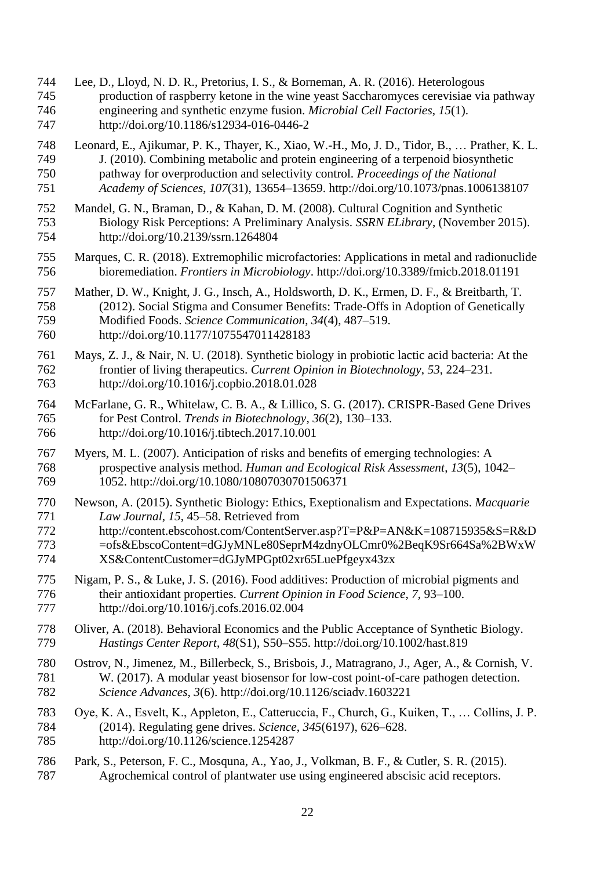- Lee, D., Lloyd, N. D. R., Pretorius, I. S., & Borneman, A. R. (2016). Heterologous production of raspberry ketone in the wine yeast Saccharomyces cerevisiae via pathway engineering and synthetic enzyme fusion. *Microbial Cell Factories*, *15*(1). http://doi.org/10.1186/s12934-016-0446-2
- Leonard, E., Ajikumar, P. K., Thayer, K., Xiao, W.-H., Mo, J. D., Tidor, B., … Prather, K. L. J. (2010). Combining metabolic and protein engineering of a terpenoid biosynthetic pathway for overproduction and selectivity control. *Proceedings of the National Academy of Sciences*, *107*(31), 13654–13659. http://doi.org/10.1073/pnas.1006138107
- Mandel, G. N., Braman, D., & Kahan, D. M. (2008). Cultural Cognition and Synthetic Biology Risk Perceptions: A Preliminary Analysis. *SSRN ELibrary*, (November 2015). http://doi.org/10.2139/ssrn.1264804
- Marques, C. R. (2018). Extremophilic microfactories: Applications in metal and radionuclide bioremediation. *Frontiers in Microbiology*. http://doi.org/10.3389/fmicb.2018.01191
- Mather, D. W., Knight, J. G., Insch, A., Holdsworth, D. K., Ermen, D. F., & Breitbarth, T. (2012). Social Stigma and Consumer Benefits: Trade-Offs in Adoption of Genetically Modified Foods. *Science Communication*, *34*(4), 487–519. http://doi.org/10.1177/1075547011428183
- Mays, Z. J., & Nair, N. U. (2018). Synthetic biology in probiotic lactic acid bacteria: At the frontier of living therapeutics. *Current Opinion in Biotechnology*, *53*, 224–231. http://doi.org/10.1016/j.copbio.2018.01.028
- McFarlane, G. R., Whitelaw, C. B. A., & Lillico, S. G. (2017). CRISPR-Based Gene Drives for Pest Control. *Trends in Biotechnology*, *36*(2), 130–133. http://doi.org/10.1016/j.tibtech.2017.10.001
- Myers, M. L. (2007). Anticipation of risks and benefits of emerging technologies: A prospective analysis method. *Human and Ecological Risk Assessment*, *13*(5), 1042– 1052. http://doi.org/10.1080/10807030701506371
- Newson, A. (2015). Synthetic Biology: Ethics, Exeptionalism and Expectations. *Macquarie Law Journal*, *15*, 45–58. Retrieved from http://content.ebscohost.com/ContentServer.asp?T=P&P=AN&K=108715935&S=R&D 773 =ofs&EbscoContent=dGJyMNLe80SeprM4zdnyOLCmr0%2BeqK9Sr664Sa%2BWxW
- XS&ContentCustomer=dGJyMPGpt02xr65LuePfgeyx43zx
- Nigam, P. S., & Luke, J. S. (2016). Food additives: Production of microbial pigments and their antioxidant properties. *Current Opinion in Food Science*, *7*, 93–100. http://doi.org/10.1016/j.cofs.2016.02.004
- 778 Oliver, A. (2018). Behavioral Economics and the Public Acceptance of Synthetic Biology.<br>779 Hastings Center Report. 48(S1). S50–S55. http://doi.org/10.1002/hast.819 *Hastings Center Report*, *48*(S1), S50–S55. http://doi.org/10.1002/hast.819
- Ostrov, N., Jimenez, M., Billerbeck, S., Brisbois, J., Matragrano, J., Ager, A., & Cornish, V. W. (2017). A modular yeast biosensor for low-cost point-of-care pathogen detection. *Science Advances*, *3*(6). http://doi.org/10.1126/sciadv.1603221
- Oye, K. A., Esvelt, K., Appleton, E., Catteruccia, F., Church, G., Kuiken, T., … Collins, J. P. (2014). Regulating gene drives. *Science*, *345*(6197), 626–628. http://doi.org/10.1126/science.1254287
- Park, S., Peterson, F. C., Mosquna, A., Yao, J., Volkman, B. F., & Cutler, S. R. (2015). Agrochemical control of plantwater use using engineered abscisic acid receptors.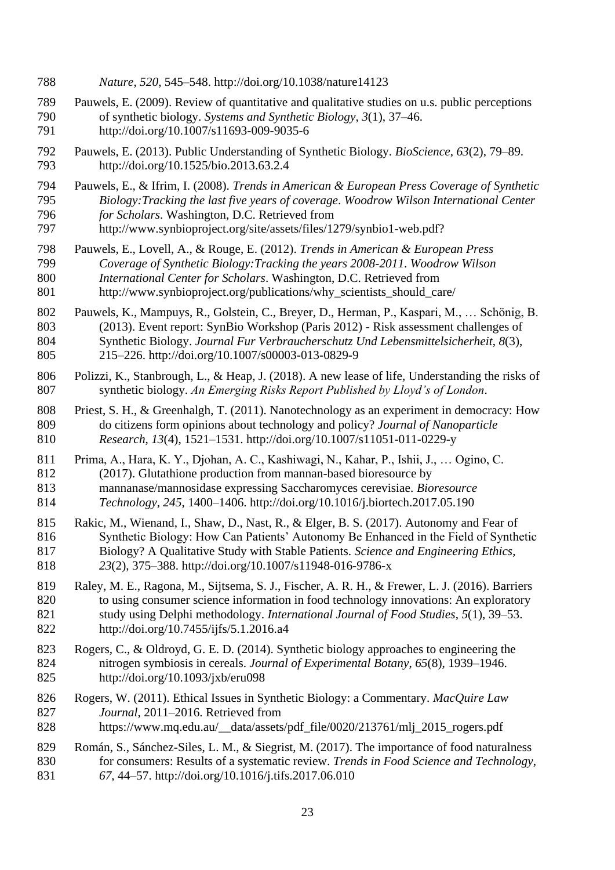- *Nature*, *520*, 545–548. http://doi.org/10.1038/nature14123
- Pauwels, E. (2009). Review of quantitative and qualitative studies on u.s. public perceptions of synthetic biology. *Systems and Synthetic Biology*, *3*(1), 37–46. http://doi.org/10.1007/s11693-009-9035-6
- Pauwels, E. (2013). Public Understanding of Synthetic Biology. *BioScience*, *63*(2), 79–89. http://doi.org/10.1525/bio.2013.63.2.4
- Pauwels, E., & Ifrim, I. (2008). *Trends in American & European Press Coverage of Synthetic Biology:Tracking the last five years of coverage*. *Woodrow Wilson International Center for Scholars*. Washington, D.C. Retrieved from
- http://www.synbioproject.org/site/assets/files/1279/synbio1-web.pdf?
- Pauwels, E., Lovell, A., & Rouge, E. (2012). *Trends in American & European Press Coverage of Synthetic Biology:Tracking the years 2008-2011*. *Woodrow Wilson International Center for Scholars*. Washington, D.C. Retrieved from 801 http://www.synbioproject.org/publications/why\_scientists\_should\_care/
- Pauwels, K., Mampuys, R., Golstein, C., Breyer, D., Herman, P., Kaspari, M., … Schönig, B. (2013). Event report: SynBio Workshop (Paris 2012) - Risk assessment challenges of
- Synthetic Biology. *Journal Fur Verbraucherschutz Und Lebensmittelsicherheit*, *8*(3),
- 215–226. http://doi.org/10.1007/s00003-013-0829-9
- Polizzi, K., Stanbrough, L., & Heap, J. (2018). A new lease of life, Understanding the risks of synthetic biology. *An Emerging Risks Report Published by Lloyd's of London*.
- 808 Priest, S. H., & Greenhalgh, T. (2011). Nanotechnology as an experiment in democracy: How do citizens form opinions about technology and policy? *Journal of Nanoparticle Research*, *13*(4), 1521–1531. http://doi.org/10.1007/s11051-011-0229-y
- Prima, A., Hara, K. Y., Djohan, A. C., Kashiwagi, N., Kahar, P., Ishii, J., … Ogino, C.
- (2017). Glutathione production from mannan-based bioresource by
- mannanase/mannosidase expressing Saccharomyces cerevisiae. *Bioresource*
- *Technology*, *245*, 1400–1406. http://doi.org/10.1016/j.biortech.2017.05.190
- Rakic, M., Wienand, I., Shaw, D., Nast, R., & Elger, B. S. (2017). Autonomy and Fear of Synthetic Biology: How Can Patients' Autonomy Be Enhanced in the Field of Synthetic Biology? A Qualitative Study with Stable Patients. *Science and Engineering Ethics*, *23*(2), 375–388. http://doi.org/10.1007/s11948-016-9786-x
- Raley, M. E., Ragona, M., Sijtsema, S. J., Fischer, A. R. H., & Frewer, L. J. (2016). Barriers to using consumer science information in food technology innovations: An exploratory study using Delphi methodology. *International Journal of Food Studies*, *5*(1), 39–53. http://doi.org/10.7455/ijfs/5.1.2016.a4
- Rogers, C., & Oldroyd, G. E. D. (2014). Synthetic biology approaches to engineering the nitrogen symbiosis in cereals. *Journal of Experimental Botany*, *65*(8), 1939–1946. http://doi.org/10.1093/jxb/eru098
- Rogers, W. (2011). Ethical Issues in Synthetic Biology: a Commentary. *MacQuire Law Journal*, 2011–2016. Retrieved from
- 828 https://www.mq.edu.au/\_\_data/assets/pdf\_file/0020/213761/mlj\_2015\_rogers.pdf
- Román, S., Sánchez-Siles, L. M., & Siegrist, M. (2017). The importance of food naturalness for consumers: Results of a systematic review. *Trends in Food Science and Technology*, *67*, 44–57. http://doi.org/10.1016/j.tifs.2017.06.010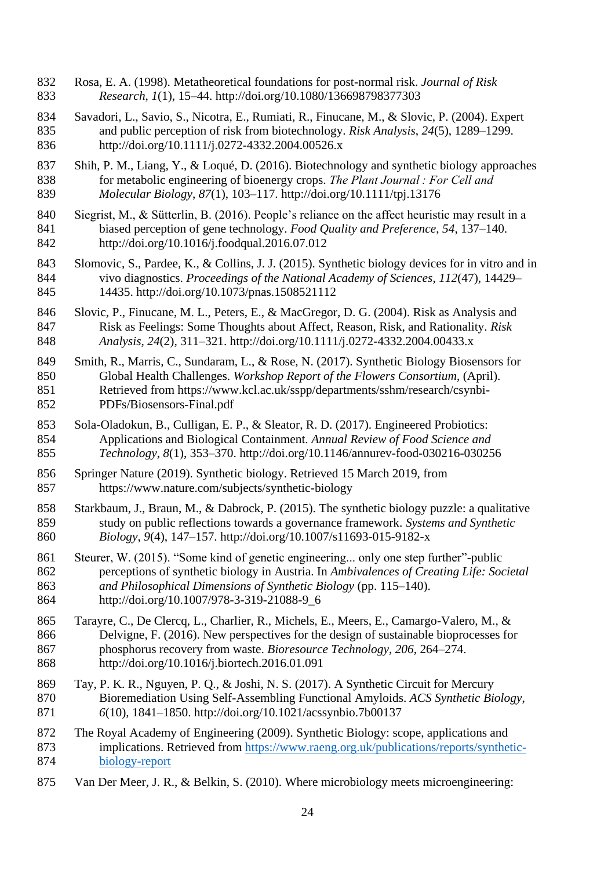- Rosa, E. A. (1998). Metatheoretical foundations for post-normal risk. *Journal of Risk Research*, *1*(1), 15–44. http://doi.org/10.1080/136698798377303
- Savadori, L., Savio, S., Nicotra, E., Rumiati, R., Finucane, M., & Slovic, P. (2004). Expert and public perception of risk from biotechnology. *Risk Analysis*, *24*(5), 1289–1299. http://doi.org/10.1111/j.0272-4332.2004.00526.x
- Shih, P. M., Liang, Y., & Loqué, D. (2016). Biotechnology and synthetic biology approaches for metabolic engineering of bioenergy crops. *The Plant Journal : For Cell and Molecular Biology*, *87*(1), 103–117. http://doi.org/10.1111/tpj.13176
- Siegrist, M., & Sütterlin, B. (2016). People's reliance on the affect heuristic may result in a biased perception of gene technology. *Food Quality and Preference*, *54*, 137–140. http://doi.org/10.1016/j.foodqual.2016.07.012
- Slomovic, S., Pardee, K., & Collins, J. J. (2015). Synthetic biology devices for in vitro and in vivo diagnostics. *Proceedings of the National Academy of Sciences*, *112*(47), 14429– 14435. http://doi.org/10.1073/pnas.1508521112
- Slovic, P., Finucane, M. L., Peters, E., & MacGregor, D. G. (2004). Risk as Analysis and Risk as Feelings: Some Thoughts about Affect, Reason, Risk, and Rationality. *Risk Analysis*, *24*(2), 311–321. http://doi.org/10.1111/j.0272-4332.2004.00433.x
- Smith, R., Marris, C., Sundaram, L., & Rose, N. (2017). Synthetic Biology Biosensors for Global Health Challenges. *Workshop Report of the Flowers Consortium*, (April). Retrieved from https://www.kcl.ac.uk/sspp/departments/sshm/research/csynbi-PDFs/Biosensors-Final.pdf
- Sola-Oladokun, B., Culligan, E. P., & Sleator, R. D. (2017). Engineered Probiotics: Applications and Biological Containment. *Annual Review of Food Science and Technology*, *8*(1), 353–370. http://doi.org/10.1146/annurev-food-030216-030256
- Springer Nature (2019). Synthetic biology. Retrieved 15 March 2019, from https://www.nature.com/subjects/synthetic-biology
- Starkbaum, J., Braun, M., & Dabrock, P. (2015). The synthetic biology puzzle: a qualitative study on public reflections towards a governance framework. *Systems and Synthetic Biology*, *9*(4), 147–157. http://doi.org/10.1007/s11693-015-9182-x
- 861 Steurer, W. (2015). "Some kind of genetic engineering... only one step further"-public perceptions of synthetic biology in Austria. In *Ambivalences of Creating Life: Societal and Philosophical Dimensions of Synthetic Biology* (pp. 115–140). http://doi.org/10.1007/978-3-319-21088-9\_6
- Tarayre, C., De Clercq, L., Charlier, R., Michels, E., Meers, E., Camargo-Valero, M., & Delvigne, F. (2016). New perspectives for the design of sustainable bioprocesses for phosphorus recovery from waste. *Bioresource Technology*, *206*, 264–274. http://doi.org/10.1016/j.biortech.2016.01.091
- Tay, P. K. R., Nguyen, P. Q., & Joshi, N. S. (2017). A Synthetic Circuit for Mercury Bioremediation Using Self-Assembling Functional Amyloids. *ACS Synthetic Biology*, *6*(10), 1841–1850. http://doi.org/10.1021/acssynbio.7b00137
- The Royal Academy of Engineering (2009). Synthetic Biology: scope, applications and implications. Retrieved from [https://www.raeng.org.uk/publications/reports/synthetic-](https://www.raeng.org.uk/publications/reports/synthetic-biology-report)[biology-report](https://www.raeng.org.uk/publications/reports/synthetic-biology-report)
- Van Der Meer, J. R., & Belkin, S. (2010). Where microbiology meets microengineering: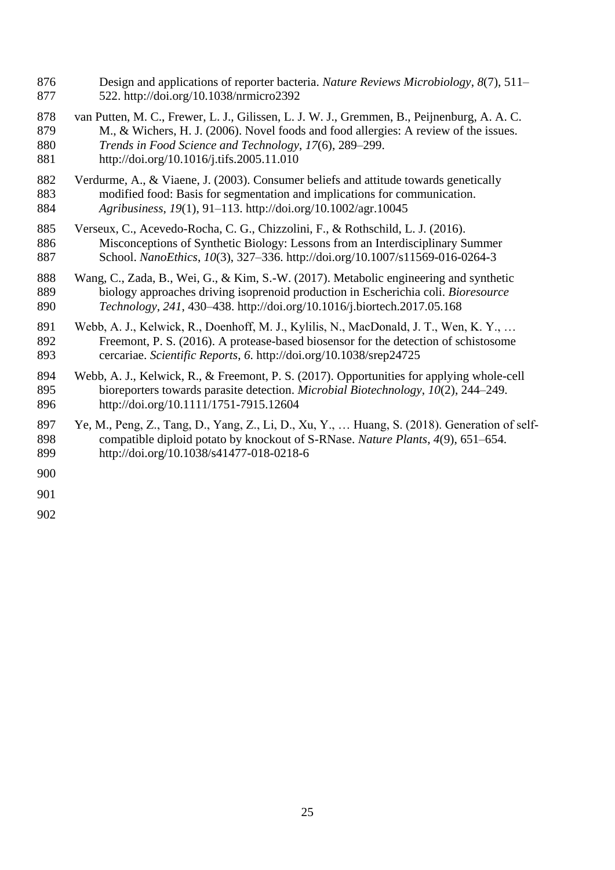- Design and applications of reporter bacteria. *Nature Reviews Microbiology*, *8*(7), 511– 522. http://doi.org/10.1038/nrmicro2392
- van Putten, M. C., Frewer, L. J., Gilissen, L. J. W. J., Gremmen, B., Peijnenburg, A. A. C. M., & Wichers, H. J. (2006). Novel foods and food allergies: A review of the issues. *Trends in Food Science and Technology*, *17*(6), 289–299. http://doi.org/10.1016/j.tifs.2005.11.010
- Verdurme, A., & Viaene, J. (2003). Consumer beliefs and attitude towards genetically modified food: Basis for segmentation and implications for communication. *Agribusiness*, *19*(1), 91–113. http://doi.org/10.1002/agr.10045
- Verseux, C., Acevedo-Rocha, C. G., Chizzolini, F., & Rothschild, L. J. (2016). Misconceptions of Synthetic Biology: Lessons from an Interdisciplinary Summer School. *NanoEthics*, *10*(3), 327–336. http://doi.org/10.1007/s11569-016-0264-3
- Wang, C., Zada, B., Wei, G., & Kim, S.-W. (2017). Metabolic engineering and synthetic biology approaches driving isoprenoid production in Escherichia coli. *Bioresource Technology*, *241*, 430–438. http://doi.org/10.1016/j.biortech.2017.05.168
- Webb, A. J., Kelwick, R., Doenhoff, M. J., Kylilis, N., MacDonald, J. T., Wen, K. Y., … Freemont, P. S. (2016). A protease-based biosensor for the detection of schistosome cercariae. *Scientific Reports*, *6*. http://doi.org/10.1038/srep24725
- Webb, A. J., Kelwick, R., & Freemont, P. S. (2017). Opportunities for applying whole-cell bioreporters towards parasite detection. *Microbial Biotechnology*, *10*(2), 244–249. http://doi.org/10.1111/1751-7915.12604
- Ye, M., Peng, Z., Tang, D., Yang, Z., Li, D., Xu, Y., … Huang, S. (2018). Generation of self- compatible diploid potato by knockout of S-RNase. *Nature Plants*, *4*(9), 651–654. http://doi.org/10.1038/s41477-018-0218-6
- 
-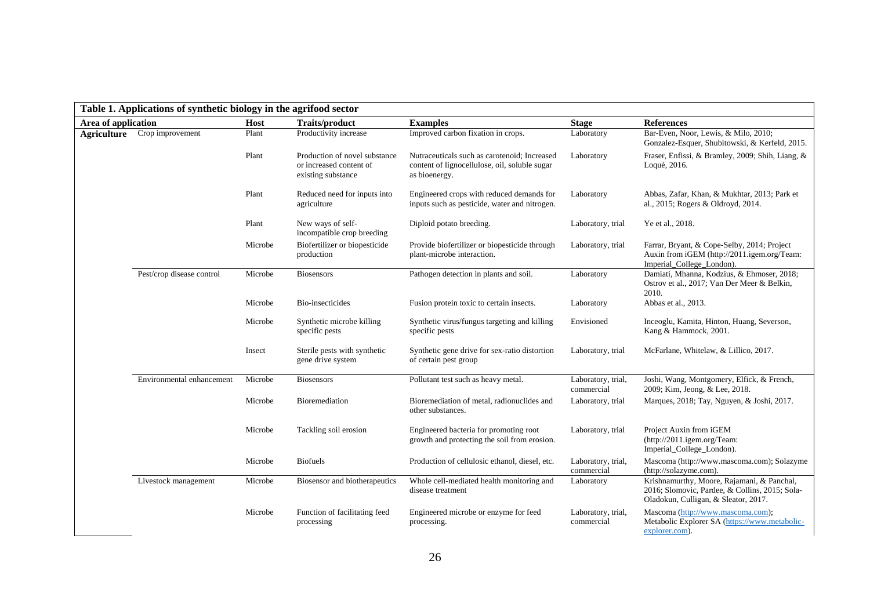| Table 1. Applications of synthetic biology in the agrifood sector |                           |                                      |                                                                                |                                                                                                                |                                  |                                                                                                                                      |  |  |  |  |
|-------------------------------------------------------------------|---------------------------|--------------------------------------|--------------------------------------------------------------------------------|----------------------------------------------------------------------------------------------------------------|----------------------------------|--------------------------------------------------------------------------------------------------------------------------------------|--|--|--|--|
| Area of application                                               |                           | <b>Traits/product</b><br><b>Host</b> |                                                                                | <b>Examples</b>                                                                                                | <b>Stage</b>                     | <b>References</b>                                                                                                                    |  |  |  |  |
| Agriculture                                                       | Crop improvement          | Plant                                | Productivity increase                                                          | Improved carbon fixation in crops.                                                                             | Laboratory                       | Bar-Even, Noor, Lewis, & Milo, 2010;<br>Gonzalez-Esquer, Shubitowski, & Kerfeld, 2015.                                               |  |  |  |  |
|                                                                   |                           | Plant                                | Production of novel substance<br>or increased content of<br>existing substance | Nutraceuticals such as carotenoid; Increased<br>content of lignocellulose, oil, soluble sugar<br>as bioenergy. | Laboratory                       | Fraser, Enfissi, & Bramley, 2009; Shih, Liang, &<br>Loqué, 2016.                                                                     |  |  |  |  |
|                                                                   |                           | Plant                                | Reduced need for inputs into<br>agriculture                                    | Engineered crops with reduced demands for<br>inputs such as pesticide, water and nitrogen.                     | Laboratory                       | Abbas, Zafar, Khan, & Mukhtar, 2013; Park et<br>al., 2015; Rogers & Oldroyd, 2014.                                                   |  |  |  |  |
|                                                                   |                           | Plant                                | New ways of self-<br>incompatible crop breeding                                | Diploid potato breeding.                                                                                       | Laboratory, trial                | Ye et al., 2018.                                                                                                                     |  |  |  |  |
|                                                                   |                           | Microbe                              | Biofertilizer or biopesticide<br>production                                    | Provide biofertilizer or biopesticide through<br>plant-microbe interaction.                                    | Laboratory, trial                | Farrar, Bryant, & Cope-Selby, 2014; Project<br>Auxin from iGEM (http://2011.igem.org/Team:<br>Imperial_College_London).              |  |  |  |  |
|                                                                   | Pest/crop disease control | Microbe                              | <b>Biosensors</b>                                                              | Pathogen detection in plants and soil.                                                                         | Laboratory                       | Damiati, Mhanna, Kodzius, & Ehmoser, 2018;<br>Ostrov et al., 2017; Van Der Meer & Belkin,<br>2010.                                   |  |  |  |  |
|                                                                   |                           | Microbe                              | Bio-insecticides                                                               | Fusion protein toxic to certain insects.                                                                       | Laboratory                       | Abbas et al., 2013.                                                                                                                  |  |  |  |  |
|                                                                   |                           | Microbe                              | Synthetic microbe killing<br>specific pests                                    | Synthetic virus/fungus targeting and killing<br>specific pests                                                 | Envisioned                       | Inceoglu, Kamita, Hinton, Huang, Severson,<br>Kang & Hammock, 2001.                                                                  |  |  |  |  |
|                                                                   |                           | Insect                               | Sterile pests with synthetic<br>gene drive system                              | Synthetic gene drive for sex-ratio distortion<br>of certain pest group                                         | Laboratory, trial                | McFarlane, Whitelaw, & Lillico, 2017.                                                                                                |  |  |  |  |
|                                                                   | Environmental enhancement | Microbe                              | <b>Biosensors</b>                                                              | Pollutant test such as heavy metal.                                                                            | Laboratory, trial,<br>commercial | Joshi, Wang, Montgomery, Elfick, & French,<br>2009; Kim, Jeong, & Lee, 2018.                                                         |  |  |  |  |
|                                                                   |                           | Microbe                              | Bioremediation                                                                 | Bioremediation of metal, radionuclides and<br>other substances.                                                | Laboratory, trial                | Marques, 2018; Tay, Nguyen, & Joshi, 2017.                                                                                           |  |  |  |  |
|                                                                   |                           | Microbe                              | Tackling soil erosion                                                          | Engineered bacteria for promoting root<br>growth and protecting the soil from erosion.                         | Laboratory, trial                | Project Auxin from iGEM<br>(http://2011.igem.org/Team:<br>Imperial_College_London).                                                  |  |  |  |  |
|                                                                   |                           | Microbe                              | <b>Biofuels</b>                                                                | Production of cellulosic ethanol, diesel, etc.                                                                 | Laboratory, trial,<br>commercial | Mascoma (http://www.mascoma.com); Solazyme<br>(http://solazyme.com).                                                                 |  |  |  |  |
|                                                                   | Livestock management      | Microbe                              | Biosensor and biotherapeutics                                                  | Whole cell-mediated health monitoring and<br>disease treatment                                                 | Laboratory                       | Krishnamurthy, Moore, Rajamani, & Panchal,<br>2016; Slomovic, Pardee, & Collins, 2015; Sola-<br>Oladokun, Culligan, & Sleator, 2017. |  |  |  |  |
|                                                                   |                           | Microbe                              | Function of facilitating feed<br>processing                                    | Engineered microbe or enzyme for feed<br>processing.                                                           | Laboratory, trial,<br>commercial | Mascoma (http://www.mascoma.com);<br>Metabolic Explorer SA (https://www.metabolic-<br>explorer.com).                                 |  |  |  |  |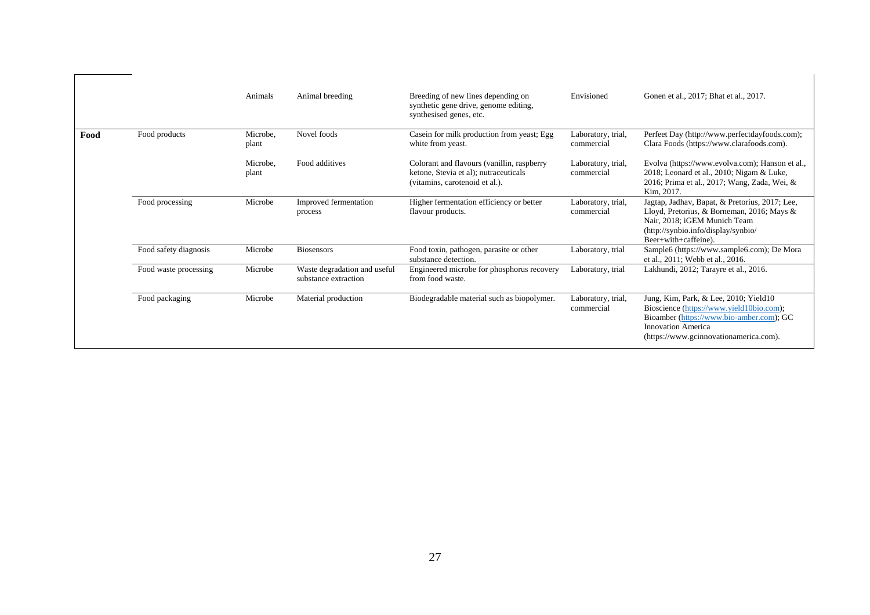|      |                       | Animals           | Animal breeding                                      | Breeding of new lines depending on<br>synthetic gene drive, genome editing,<br>synthesised genes, etc.                | Envisioned                       | Gonen et al., 2017; Bhat et al., 2017.                                                                                                                                                               |
|------|-----------------------|-------------------|------------------------------------------------------|-----------------------------------------------------------------------------------------------------------------------|----------------------------------|------------------------------------------------------------------------------------------------------------------------------------------------------------------------------------------------------|
| Food | Food products         | Microbe,<br>plant | Novel foods                                          | Casein for milk production from yeast; Egg<br>white from yeast.                                                       | Laboratory, trial,<br>commercial | Perfeet Day (http://www.perfectdayfoods.com);<br>Clara Foods (https://www.clarafoods.com).                                                                                                           |
|      |                       | Microbe,<br>plant | Food additives                                       | Colorant and flavours (vanillin, raspberry<br>ketone, Stevia et al); nutraceuticals<br>(vitamins, carotenoid et al.). | Laboratory, trial,<br>commercial | Evolva (https://www.evolva.com); Hanson et al.,<br>2018; Leonard et al., 2010; Nigam & Luke,<br>2016; Prima et al., 2017; Wang, Zada, Wei, &<br>Kim. 2017.                                           |
|      | Food processing       | Microbe           | Improved fermentation<br>process                     | Higher fermentation efficiency or better<br>flavour products.                                                         | Laboratory, trial,<br>commercial | Jagtap, Jadhav, Bapat, & Pretorius, 2017; Lee,<br>Lloyd, Pretorius, & Borneman, 2016; Mays &<br>Nair, 2018: iGEM Munich Team<br>(http://synbio.info/display/synbio/<br>Beer+with+caffeine).          |
|      | Food safety diagnosis | Microbe           | <b>Biosensors</b>                                    | Food toxin, pathogen, parasite or other<br>substance detection.                                                       | Laboratory, trial                | Sample6 (https://www.sample6.com); De Mora<br>et al., 2011; Webb et al., 2016.                                                                                                                       |
|      | Food waste processing | Microbe           | Waste degradation and useful<br>substance extraction | Engineered microbe for phosphorus recovery<br>from food waste.                                                        | Laboratory, trial                | Lakhundi, 2012; Tarayre et al., 2016.                                                                                                                                                                |
|      | Food packaging        | Microbe           | Material production                                  | Biodegradable material such as biopolymer.                                                                            | Laboratory, trial,<br>commercial | Jung, Kim, Park, & Lee, 2010; Yield10<br>Bioscience (https://www.yield10bio.com);<br>Bioamber (https://www.bio-amber.com); GC<br><b>Innovation America</b><br>(https://www.gcinnovationamerica.com). |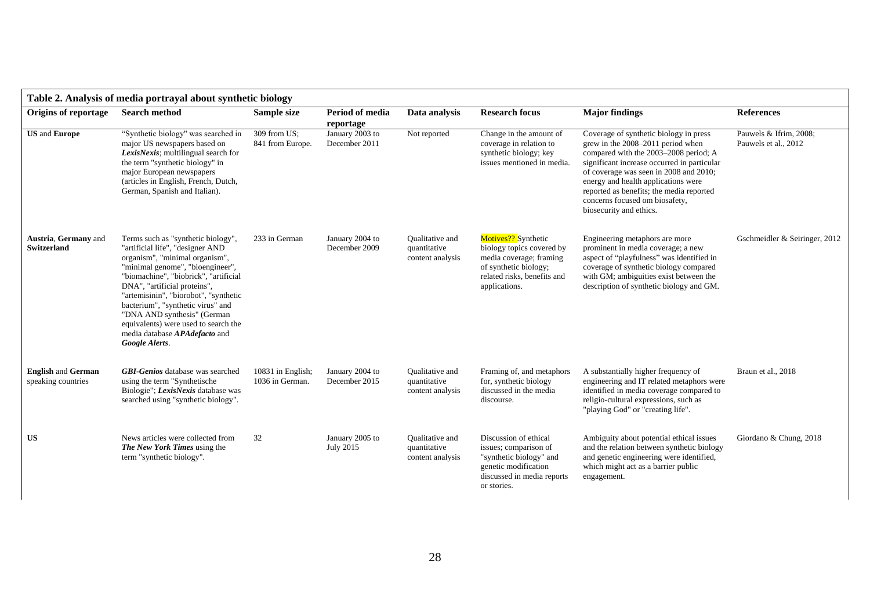| Table 2. Analysis of media portrayal about synthetic biology |                                                                                                                                                                                                                                                                                                                                                                                                                               |                                      |                                  |                                                            |                                                                                                                                                      |                                                                                                                                                                                                                                                                                                                                                               |                                                |  |  |  |
|--------------------------------------------------------------|-------------------------------------------------------------------------------------------------------------------------------------------------------------------------------------------------------------------------------------------------------------------------------------------------------------------------------------------------------------------------------------------------------------------------------|--------------------------------------|----------------------------------|------------------------------------------------------------|------------------------------------------------------------------------------------------------------------------------------------------------------|---------------------------------------------------------------------------------------------------------------------------------------------------------------------------------------------------------------------------------------------------------------------------------------------------------------------------------------------------------------|------------------------------------------------|--|--|--|
| Origins of reportage                                         | <b>Search method</b>                                                                                                                                                                                                                                                                                                                                                                                                          | Sample size                          | Period of media<br>reportage     | Data analysis                                              | <b>Research focus</b>                                                                                                                                | <b>Major findings</b>                                                                                                                                                                                                                                                                                                                                         | <b>References</b>                              |  |  |  |
| <b>US</b> and <b>Europe</b>                                  | "Synthetic biology" was searched in<br>major US newspapers based on<br>LexisNexis; multilingual search for<br>the term "synthetic biology" in<br>major European newspapers<br>(articles in English, French, Dutch,<br>German, Spanish and Italian).                                                                                                                                                                           | 309 from US;<br>841 from Europe.     | January 2003 to<br>December 2011 | Not reported                                               | Change in the amount of<br>coverage in relation to<br>synthetic biology; key<br>issues mentioned in media.                                           | Coverage of synthetic biology in press<br>grew in the 2008–2011 period when<br>compared with the 2003–2008 period; A<br>significant increase occurred in particular<br>of coverage was seen in 2008 and 2010;<br>energy and health applications were<br>reported as benefits; the media reported<br>concerns focused om biosafety,<br>biosecurity and ethics. | Pauwels & Ifrim, 2008;<br>Pauwels et al., 2012 |  |  |  |
| Austria, Germany and<br><b>Switzerland</b>                   | Terms such as "synthetic biology",<br>"artificial life", "designer AND<br>organism", "minimal organism",<br>"minimal genome", "bioengineer",<br>"biomachine", "biobrick", "artificial<br>DNA", "artificial proteins",<br>"artemisinin", "biorobot", "synthetic<br>bacterium", "synthetic virus" and<br>"DNA AND synthesis" (German<br>equivalents) were used to search the<br>media database APAdefacto and<br>Google Alerts. | 233 in German                        | January 2004 to<br>December 2009 | Qualitative and<br>quantitative<br>content analysis        | Motives?? Synthetic<br>biology topics covered by<br>media coverage; framing<br>of synthetic biology;<br>related risks, benefits and<br>applications. | Engineering metaphors are more<br>prominent in media coverage; a new<br>aspect of "playfulness" was identified in<br>coverage of synthetic biology compared<br>with GM; ambiguities exist between the<br>description of synthetic biology and GM.                                                                                                             | Gschmeidler & Seiringer, 2012                  |  |  |  |
| <b>English and German</b><br>speaking countries              | <b>GBI-Genios</b> database was searched<br>using the term "Synthetische"<br>Biologie"; LexisNexis database was<br>searched using "synthetic biology".                                                                                                                                                                                                                                                                         | 10831 in English;<br>1036 in German. | January 2004 to<br>December 2015 | <b>Oualitative and</b><br>quantitative<br>content analysis | Framing of, and metaphors<br>for, synthetic biology<br>discussed in the media<br>discourse.                                                          | A substantially higher frequency of<br>engineering and IT related metaphors were<br>identified in media coverage compared to<br>religio-cultural expressions, such as<br>"playing God" or "creating life".                                                                                                                                                    | Braun et al., 2018                             |  |  |  |
| US                                                           | News articles were collected from<br><b>The New York Times</b> using the<br>term "synthetic biology".                                                                                                                                                                                                                                                                                                                         | 32                                   | January 2005 to<br>July 2015     | <b>Oualitative and</b><br>quantitative<br>content analysis | Discussion of ethical<br>issues; comparison of<br>"synthetic biology" and<br>genetic modification<br>discussed in media reports<br>or stories.       | Ambiguity about potential ethical issues<br>and the relation between synthetic biology<br>and genetic engineering were identified,<br>which might act as a barrier public<br>engagement.                                                                                                                                                                      | Giordano & Chung, 2018                         |  |  |  |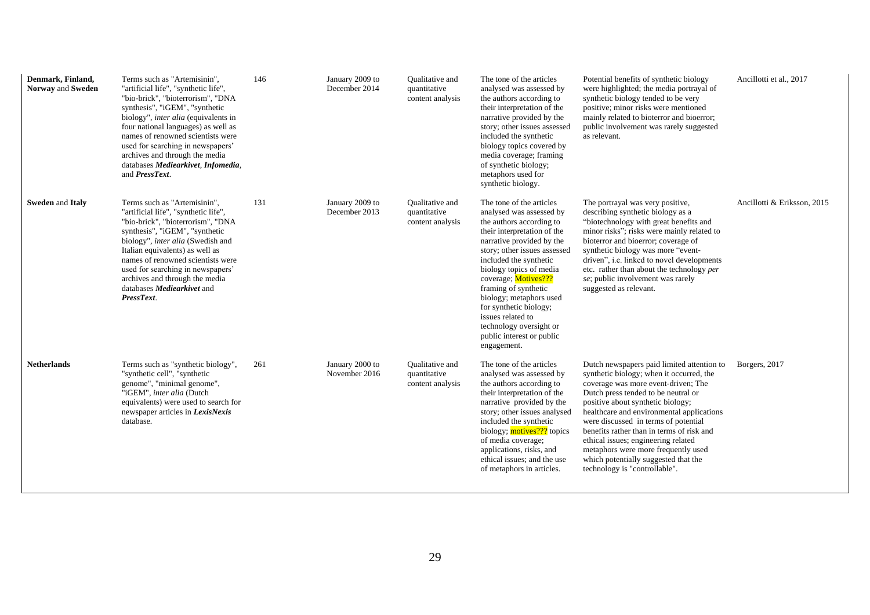| Denmark, Finland,<br>Norway and Sweden | Terms such as "Artemisinin",<br>"artificial life", "synthetic life",<br>"bio-brick", "bioterrorism", "DNA<br>synthesis", "iGEM", "synthetic<br>biology", inter alia (equivalents in<br>four national languages) as well as<br>names of renowned scientists were<br>used for searching in newspapers'<br>archives and through the media<br>databases Mediearkivet, Infomedia,<br>and PressText. | 146 | January 2009 to<br>December 2014 | Qualitative and<br>quantitative<br>content analysis        | The tone of the articles<br>analysed was assessed by<br>the authors according to<br>their interpretation of the<br>narrative provided by the<br>story; other issues assessed<br>included the synthetic<br>biology topics covered by<br>media coverage; framing<br>of synthetic biology;<br>metaphors used for<br>synthetic biology.                                                                                                | Potential benefits of synthetic biology<br>were highlighted; the media portrayal of<br>synthetic biology tended to be very<br>positive; minor risks were mentioned<br>mainly related to bioterror and bioerror;<br>public involvement was rarely suggested<br>as relevant.                                                                                                                                                                                                                         | Ancillotti et al., 2017     |
|----------------------------------------|------------------------------------------------------------------------------------------------------------------------------------------------------------------------------------------------------------------------------------------------------------------------------------------------------------------------------------------------------------------------------------------------|-----|----------------------------------|------------------------------------------------------------|------------------------------------------------------------------------------------------------------------------------------------------------------------------------------------------------------------------------------------------------------------------------------------------------------------------------------------------------------------------------------------------------------------------------------------|----------------------------------------------------------------------------------------------------------------------------------------------------------------------------------------------------------------------------------------------------------------------------------------------------------------------------------------------------------------------------------------------------------------------------------------------------------------------------------------------------|-----------------------------|
| Sweden and Italy                       | Terms such as "Artemisinin".<br>"artificial life", "synthetic life",<br>"bio-brick", "bioterrorism", "DNA<br>synthesis", "iGEM", "synthetic<br>biology", inter alia (Swedish and<br>Italian equivalents) as well as<br>names of renowned scientists were<br>used for searching in newspapers'<br>archives and through the media<br>databases <i>Mediearkivet</i> and<br>PressText.             | 131 | January 2009 to<br>December 2013 | <b>Oualitative and</b><br>quantitative<br>content analysis | The tone of the articles<br>analysed was assessed by<br>the authors according to<br>their interpretation of the<br>narrative provided by the<br>story; other issues assessed<br>included the synthetic<br>biology topics of media<br>coverage; Motives???<br>framing of synthetic<br>biology; metaphors used<br>for synthetic biology;<br>issues related to<br>technology oversight or<br>public interest or public<br>engagement. | The portrayal was very positive,<br>describing synthetic biology as a<br>"biotechnology with great benefits and<br>minor risks"; risks were mainly related to<br>bioterror and bioerror; coverage of<br>synthetic biology was more "event-<br>driven", i.e. linked to novel developments<br>etc. rather than about the technology per<br>se; public involvement was rarely<br>suggested as relevant.                                                                                               | Ancillotti & Eriksson, 2015 |
| <b>Netherlands</b>                     | Terms such as "synthetic biology",<br>"synthetic cell", "synthetic<br>genome", "minimal genome",<br>"iGEM", inter alia (Dutch<br>equivalents) were used to search for<br>newspaper articles in LexisNexis<br>database.                                                                                                                                                                         | 261 | January 2000 to<br>November 2016 | <b>Oualitative and</b><br>quantitative<br>content analysis | The tone of the articles<br>analysed was assessed by<br>the authors according to<br>their interpretation of the<br>narrative provided by the<br>story; other issues analysed<br>included the synthetic<br>biology; motives??? topics<br>of media coverage;<br>applications, risks, and<br>ethical issues; and the use<br>of metaphors in articles.                                                                                 | Dutch newspapers paid limited attention to<br>synthetic biology; when it occurred, the<br>coverage was more event-driven; The<br>Dutch press tended to be neutral or<br>positive about synthetic biology;<br>healthcare and environmental applications<br>were discussed in terms of potential<br>benefits rather than in terms of risk and<br>ethical issues; engineering related<br>metaphors were more frequently used<br>which potentially suggested that the<br>technology is "controllable". | Borgers, 2017               |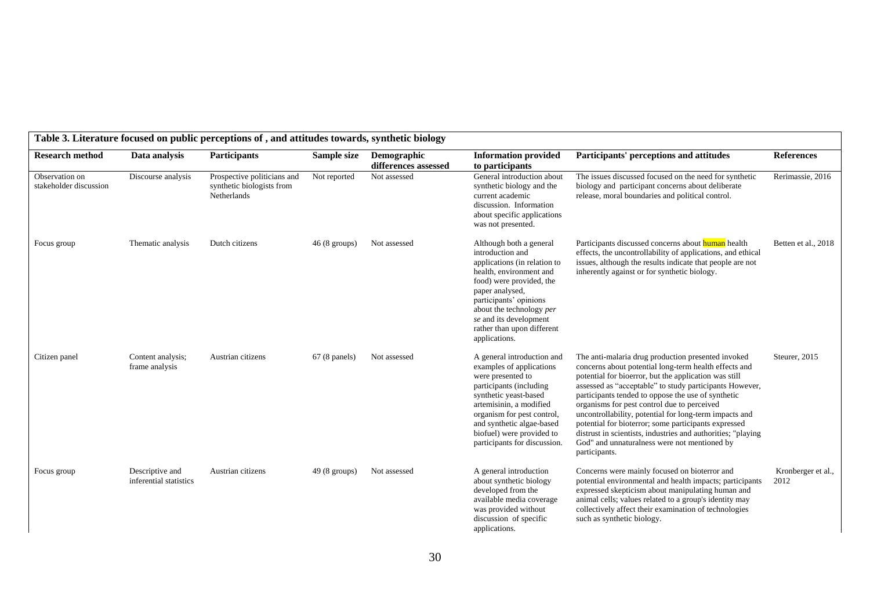| <b>Research method</b>                   | Data analysis                             | <b>Participants</b>                                                     | Sample size            | Demographic<br>differences assessed | <b>Information provided</b><br>to participants                                                                                                                                                                                                                                       | Participants' perceptions and attitudes                                                                                                                                                                                                                                                                                                                                                                                                                                                                                                                                                 | <b>References</b>          |
|------------------------------------------|-------------------------------------------|-------------------------------------------------------------------------|------------------------|-------------------------------------|--------------------------------------------------------------------------------------------------------------------------------------------------------------------------------------------------------------------------------------------------------------------------------------|-----------------------------------------------------------------------------------------------------------------------------------------------------------------------------------------------------------------------------------------------------------------------------------------------------------------------------------------------------------------------------------------------------------------------------------------------------------------------------------------------------------------------------------------------------------------------------------------|----------------------------|
| Observation on<br>stakeholder discussion | Discourse analysis                        | Prospective politicians and<br>synthetic biologists from<br>Netherlands | Not reported           | Not assessed                        | General introduction about<br>synthetic biology and the<br>current academic<br>discussion. Information<br>about specific applications<br>was not presented.                                                                                                                          | The issues discussed focused on the need for synthetic<br>biology and participant concerns about deliberate<br>release, moral boundaries and political control.                                                                                                                                                                                                                                                                                                                                                                                                                         | Rerimassie, 2016           |
| Focus group                              | Thematic analysis                         | Dutch citizens                                                          | $46(8 \text{ groups})$ | Not assessed                        | Although both a general<br>introduction and<br>applications (in relation to<br>health, environment and<br>food) were provided, the<br>paper analysed,<br>participants' opinions<br>about the technology per<br>se and its development<br>rather than upon different<br>applications. | Participants discussed concerns about human health<br>effects, the uncontrollability of applications, and ethical<br>issues, although the results indicate that people are not<br>inherently against or for synthetic biology.                                                                                                                                                                                                                                                                                                                                                          | Betten et al., 2018        |
| Citizen panel                            | Content analysis;<br>frame analysis       | Austrian citizens                                                       | $67(8 \text{ panels})$ | Not assessed                        | A general introduction and<br>examples of applications<br>were presented to<br>participants (including<br>synthetic yeast-based<br>artemisinin, a modified<br>organism for pest control.<br>and synthetic algae-based<br>biofuel) were provided to<br>participants for discussion.   | The anti-malaria drug production presented invoked<br>concerns about potential long-term health effects and<br>potential for bioerror, but the application was still<br>assessed as "acceptable" to study participants However,<br>participants tended to oppose the use of synthetic<br>organisms for pest control due to perceived<br>uncontrollability, potential for long-term impacts and<br>potential for bioterror; some participants expressed<br>distrust in scientists, industries and authorities; "playing<br>God" and unnaturalness were not mentioned by<br>participants. | Steurer, 2015              |
| Focus group                              | Descriptive and<br>inferential statistics | Austrian citizens                                                       | $49(8 \text{ groups})$ | Not assessed                        | A general introduction<br>about synthetic biology<br>developed from the<br>available media coverage<br>was provided without<br>discussion of specific<br>applications.                                                                                                               | Concerns were mainly focused on bioterror and<br>potential environmental and health impacts; participants<br>expressed skepticism about manipulating human and<br>animal cells; values related to a group's identity may<br>collectively affect their examination of technologies<br>such as synthetic biology.                                                                                                                                                                                                                                                                         | Kronberger et al.,<br>2012 |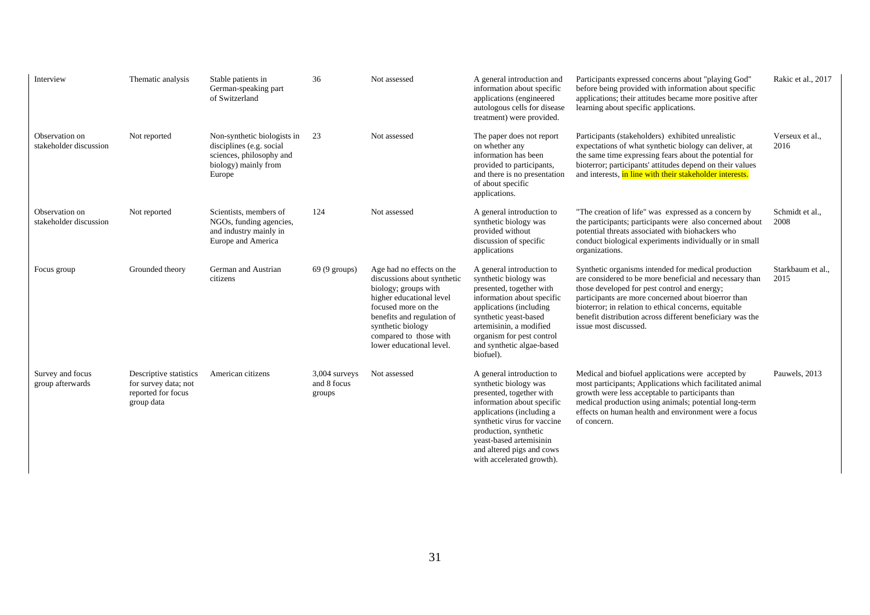| Interview                                | Thematic analysis                                                                  | Stable patients in<br>German-speaking part<br>of Switzerland                                                          | 36                                       | Not assessed                                                                                                                                                                                                                                 | A general introduction and<br>information about specific<br>applications (engineered<br>autologous cells for disease<br>treatment) were provided.                                                                                                                                      | Participants expressed concerns about "playing God"<br>before being provided with information about specific<br>applications; their attitudes became more positive after<br>learning about specific applications.                                                                                                                                                    | Rakic et al., 2017        |
|------------------------------------------|------------------------------------------------------------------------------------|-----------------------------------------------------------------------------------------------------------------------|------------------------------------------|----------------------------------------------------------------------------------------------------------------------------------------------------------------------------------------------------------------------------------------------|----------------------------------------------------------------------------------------------------------------------------------------------------------------------------------------------------------------------------------------------------------------------------------------|----------------------------------------------------------------------------------------------------------------------------------------------------------------------------------------------------------------------------------------------------------------------------------------------------------------------------------------------------------------------|---------------------------|
| Observation on<br>stakeholder discussion | Not reported                                                                       | Non-synthetic biologists in<br>disciplines (e.g. social<br>sciences, philosophy and<br>biology) mainly from<br>Europe | 23                                       | Not assessed                                                                                                                                                                                                                                 | The paper does not report<br>on whether any<br>information has been<br>provided to participants,<br>and there is no presentation<br>of about specific<br>applications.                                                                                                                 | Participants (stakeholders) exhibited unrealistic<br>expectations of what synthetic biology can deliver, at<br>the same time expressing fears about the potential for<br>bioterror; participants' attitudes depend on their values<br>and interests, in line with their stakeholder interests.                                                                       | Verseux et al<br>2016     |
| Observation on<br>stakeholder discussion | Not reported                                                                       | Scientists, members of<br>NGOs, funding agencies,<br>and industry mainly in<br>Europe and America                     | 124                                      | Not assessed                                                                                                                                                                                                                                 | A general introduction to<br>synthetic biology was<br>provided without<br>discussion of specific<br>applications                                                                                                                                                                       | "The creation of life" was expressed as a concern by<br>the participants; participants were also concerned about<br>potential threats associated with biohackers who<br>conduct biological experiments individually or in small<br>organizations.                                                                                                                    | Schmidt et al.,<br>2008   |
| Focus group                              | Grounded theory                                                                    | German and Austrian<br>citizens                                                                                       | $69(9 \text{ groups})$                   | Age had no effects on the<br>discussions about synthetic<br>biology; groups with<br>higher educational level<br>focused more on the<br>benefits and regulation of<br>synthetic biology<br>compared to those with<br>lower educational level. | A general introduction to<br>synthetic biology was<br>presented, together with<br>information about specific<br>applications (including<br>synthetic yeast-based<br>artemisinin, a modified<br>organism for pest control<br>and synthetic algae-based<br>biofuel).                     | Synthetic organisms intended for medical production<br>are considered to be more beneficial and necessary than<br>those developed for pest control and energy;<br>participants are more concerned about bioerror than<br>bioterror; in relation to ethical concerns, equitable<br>benefit distribution across different beneficiary was the<br>issue most discussed. | Starkbaum et al.,<br>2015 |
| Survey and focus<br>group afterwards     | Descriptive statistics<br>for survey data; not<br>reported for focus<br>group data | American citizens                                                                                                     | $3,004$ surveys<br>and 8 focus<br>groups | Not assessed                                                                                                                                                                                                                                 | A general introduction to<br>synthetic biology was<br>presented, together with<br>information about specific<br>applications (including a<br>synthetic virus for vaccine<br>production, synthetic<br>yeast-based artemisinin<br>and altered pigs and cows<br>with accelerated growth). | Medical and biofuel applications were accepted by<br>most participants; Applications which facilitated animal<br>growth were less acceptable to participants than<br>medical production using animals; potential long-term<br>effects on human health and environment were a focus<br>of concern.                                                                    | Pauwels, 2013             |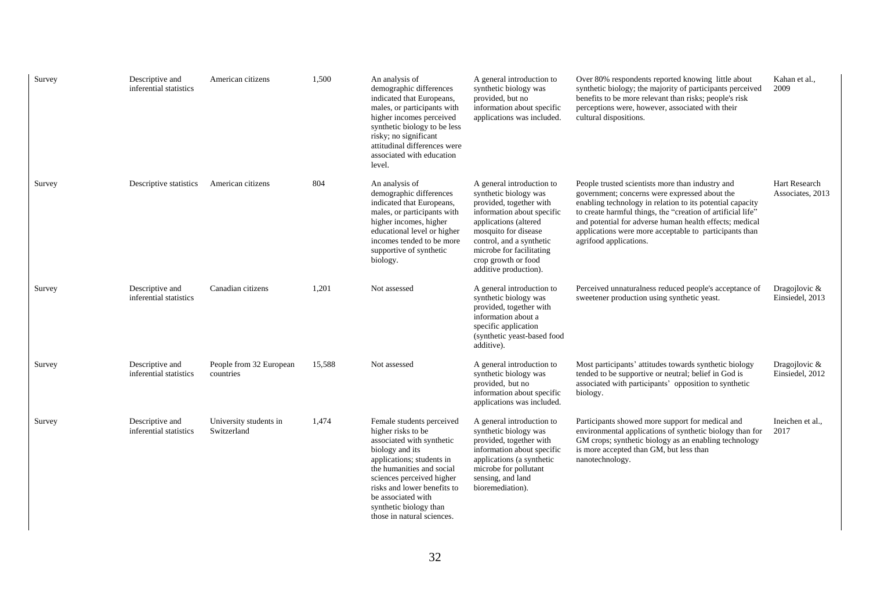| Survey | Descriptive and<br>inferential statistics | American citizens                     | 1,500  | An analysis of<br>demographic differences<br>indicated that Europeans,<br>males, or participants with<br>higher incomes perceived<br>synthetic biology to be less<br>risky; no significant<br>attitudinal differences were<br>associated with education<br>level.                                   | A general introduction to<br>synthetic biology was<br>provided, but no<br>information about specific<br>applications was included.                                                                                                                                   | Over 80% respondents reported knowing little about<br>synthetic biology; the majority of participants perceived<br>benefits to be more relevant than risks; people's risk<br>perceptions were, however, associated with their<br>cultural dispositions.                                                                                                                      | Kahan et al.,<br>2009             |
|--------|-------------------------------------------|---------------------------------------|--------|-----------------------------------------------------------------------------------------------------------------------------------------------------------------------------------------------------------------------------------------------------------------------------------------------------|----------------------------------------------------------------------------------------------------------------------------------------------------------------------------------------------------------------------------------------------------------------------|------------------------------------------------------------------------------------------------------------------------------------------------------------------------------------------------------------------------------------------------------------------------------------------------------------------------------------------------------------------------------|-----------------------------------|
| Survey | Descriptive statistics                    | American citizens                     | 804    | An analysis of<br>demographic differences<br>indicated that Europeans,<br>males, or participants with<br>higher incomes, higher<br>educational level or higher<br>incomes tended to be more<br>supportive of synthetic<br>biology.                                                                  | A general introduction to<br>synthetic biology was<br>provided, together with<br>information about specific<br>applications (altered<br>mosquito for disease<br>control, and a synthetic<br>microbe for facilitating<br>crop growth or food<br>additive production). | People trusted scientists more than industry and<br>government; concerns were expressed about the<br>enabling technology in relation to its potential capacity<br>to create harmful things, the "creation of artificial life"<br>and potential for adverse human health effects; medical<br>applications were more acceptable to participants than<br>agrifood applications. | Hart Research<br>Associates, 2013 |
| Survey | Descriptive and<br>inferential statistics | Canadian citizens                     | 1,201  | Not assessed                                                                                                                                                                                                                                                                                        | A general introduction to<br>synthetic biology was<br>provided, together with<br>information about a<br>specific application<br>(synthetic yeast-based food<br>additive).                                                                                            | Perceived unnaturalness reduced people's acceptance of<br>sweetener production using synthetic yeast.                                                                                                                                                                                                                                                                        | Dragojlovic &<br>Einsiedel, 2013  |
| Survey | Descriptive and<br>inferential statistics | People from 32 European<br>countries  | 15,588 | Not assessed                                                                                                                                                                                                                                                                                        | A general introduction to<br>synthetic biology was<br>provided, but no<br>information about specific<br>applications was included.                                                                                                                                   | Most participants' attitudes towards synthetic biology<br>tended to be supportive or neutral; belief in God is<br>associated with participants' opposition to synthetic<br>biology.                                                                                                                                                                                          | Dragojlovic &<br>Einsiedel, 2012  |
| Survey | Descriptive and<br>inferential statistics | University students in<br>Switzerland | 1,474  | Female students perceived<br>higher risks to be<br>associated with synthetic<br>biology and its<br>applications; students in<br>the humanities and social<br>sciences perceived higher<br>risks and lower benefits to<br>be associated with<br>synthetic biology than<br>those in natural sciences. | A general introduction to<br>synthetic biology was<br>provided, together with<br>information about specific<br>applications (a synthetic<br>microbe for pollutant<br>sensing, and land<br>bioremediation).                                                           | Participants showed more support for medical and<br>environmental applications of synthetic biology than for<br>GM crops; synthetic biology as an enabling technology<br>is more accepted than GM, but less than<br>nanotechnology.                                                                                                                                          | Ineichen et al.,<br>2017          |